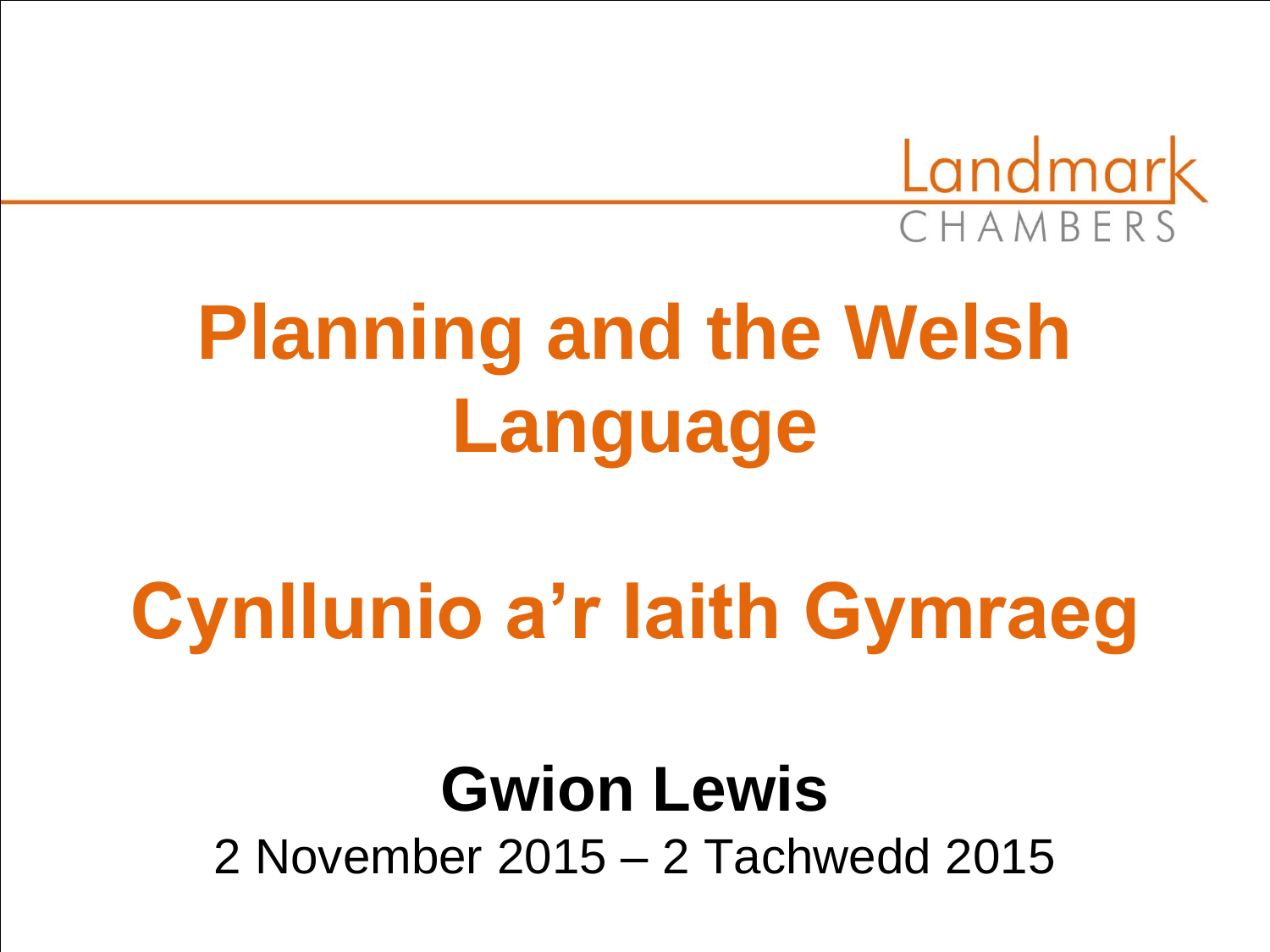

# **Planning and the Welsh Language**

# **Cynllunio a'r Iaith Gymraeg**

### **Gwion Lewis** 2 November 2015 – 2 Tachwedd 2015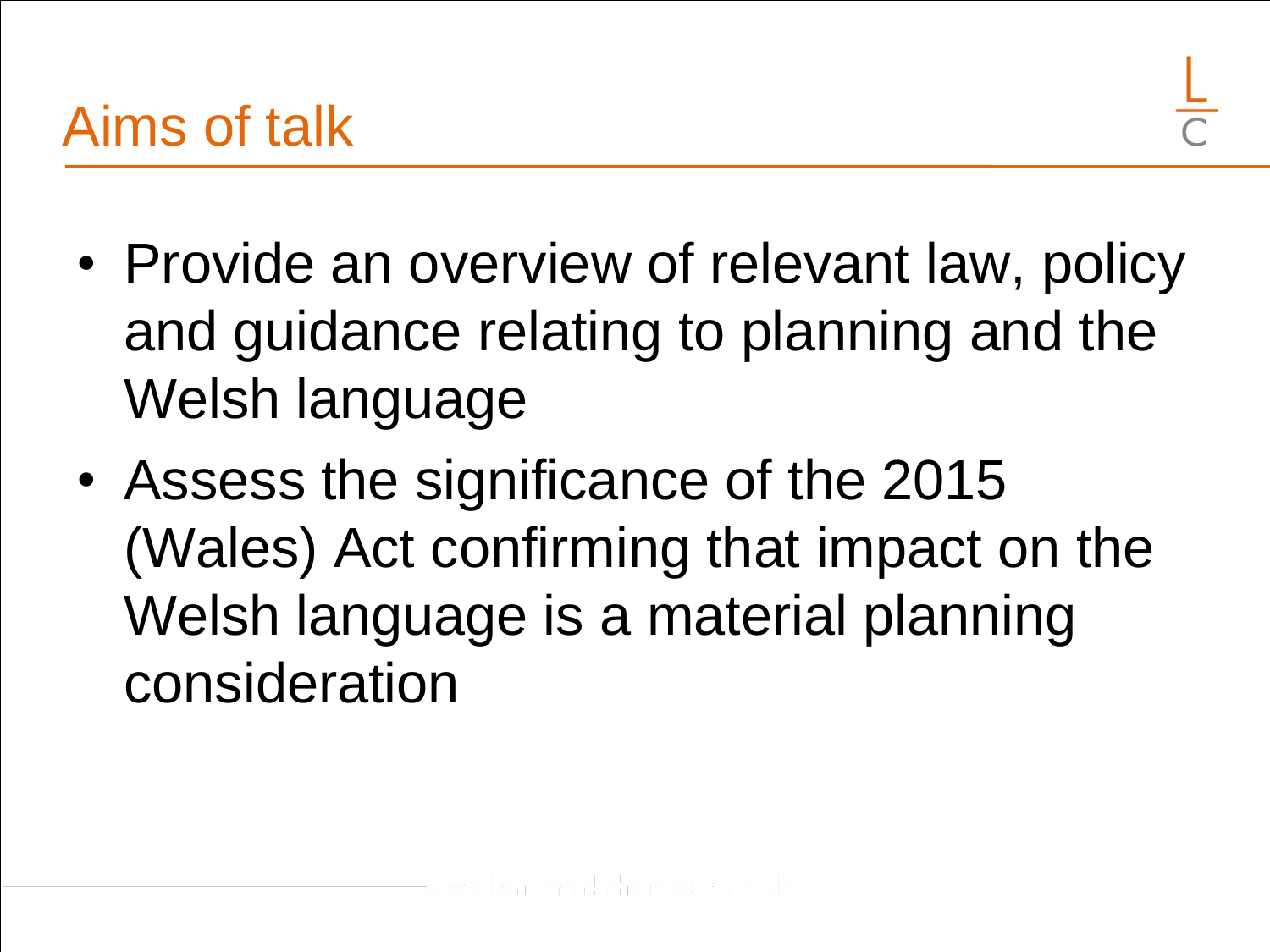- Provide an overview of relevant law, policy and guidance relating to planning and the Welsh language
- Assess the significance of the 2015 (Wales) Act confirming that impact on the Welsh language is a material planning consideration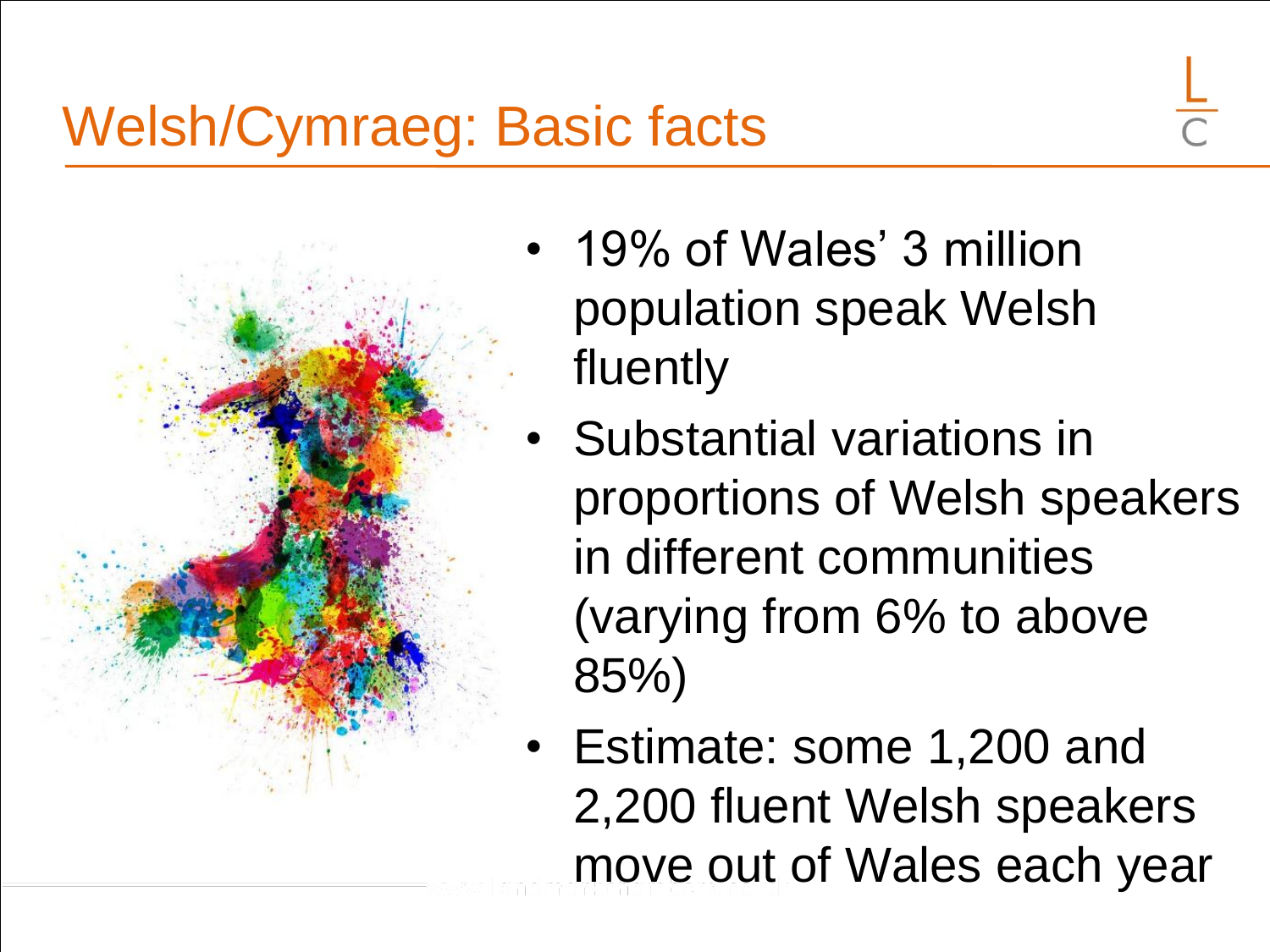### Welsh/Cymraeg: Basic facts

- 
- 19% of Wales' 3 million population speak Welsh fluently
- Substantial variations in proportions of Welsh speakers in different communities (varying from 6% to above 85%)
- Estimate: some 1,200 and 2,200 fluent Welsh speakers move out of Wales each year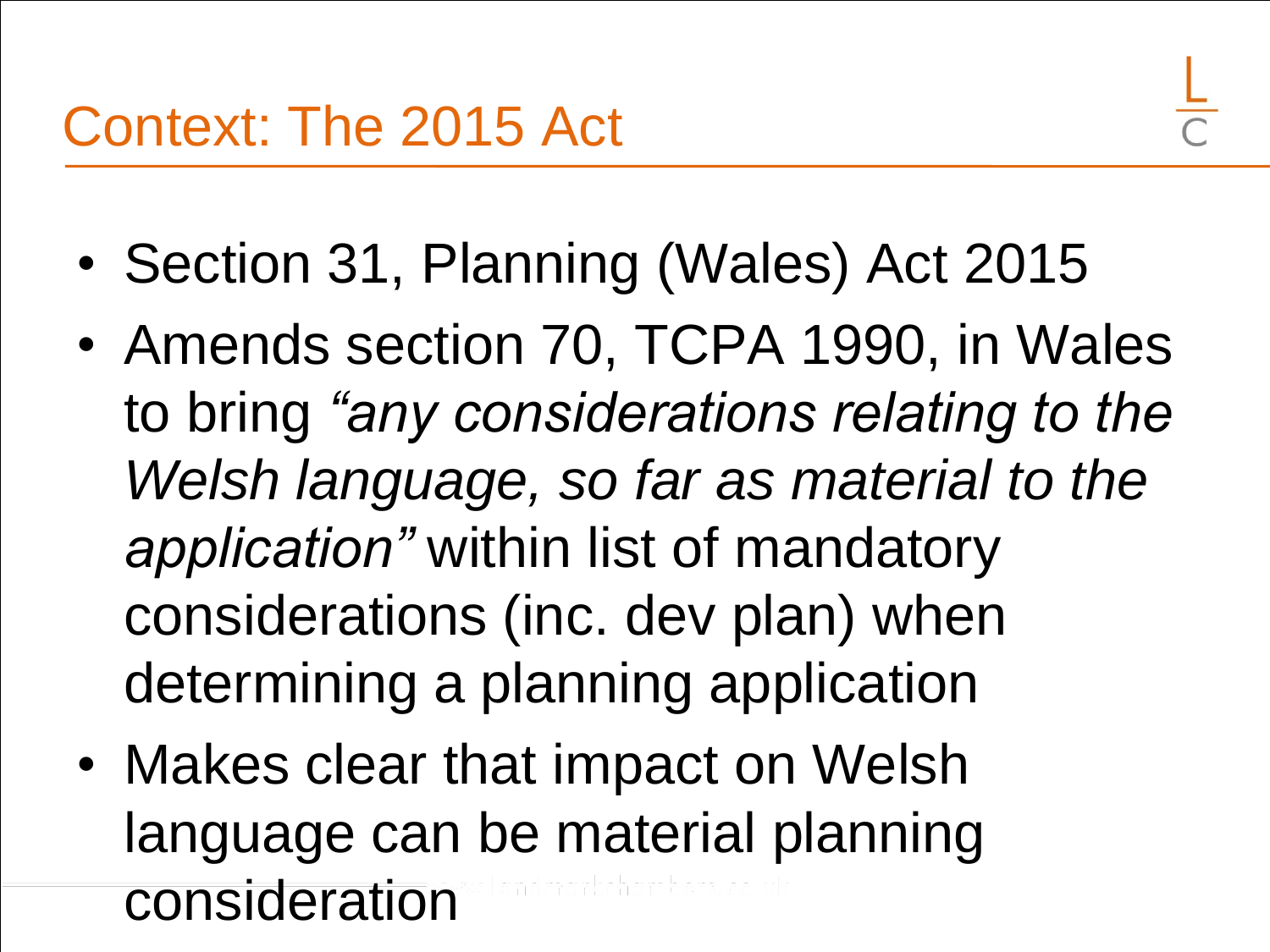- Section 31, Planning (Wales) Act 2015
- Amends section 70, TCPA 1990, in Wales to bring *"any considerations relating to the Welsh language, so far as material to the application"* within list of mandatory considerations (inc. dev plan) when determining a planning application
- Makes clear that impact on Welsh language can be material planning consideration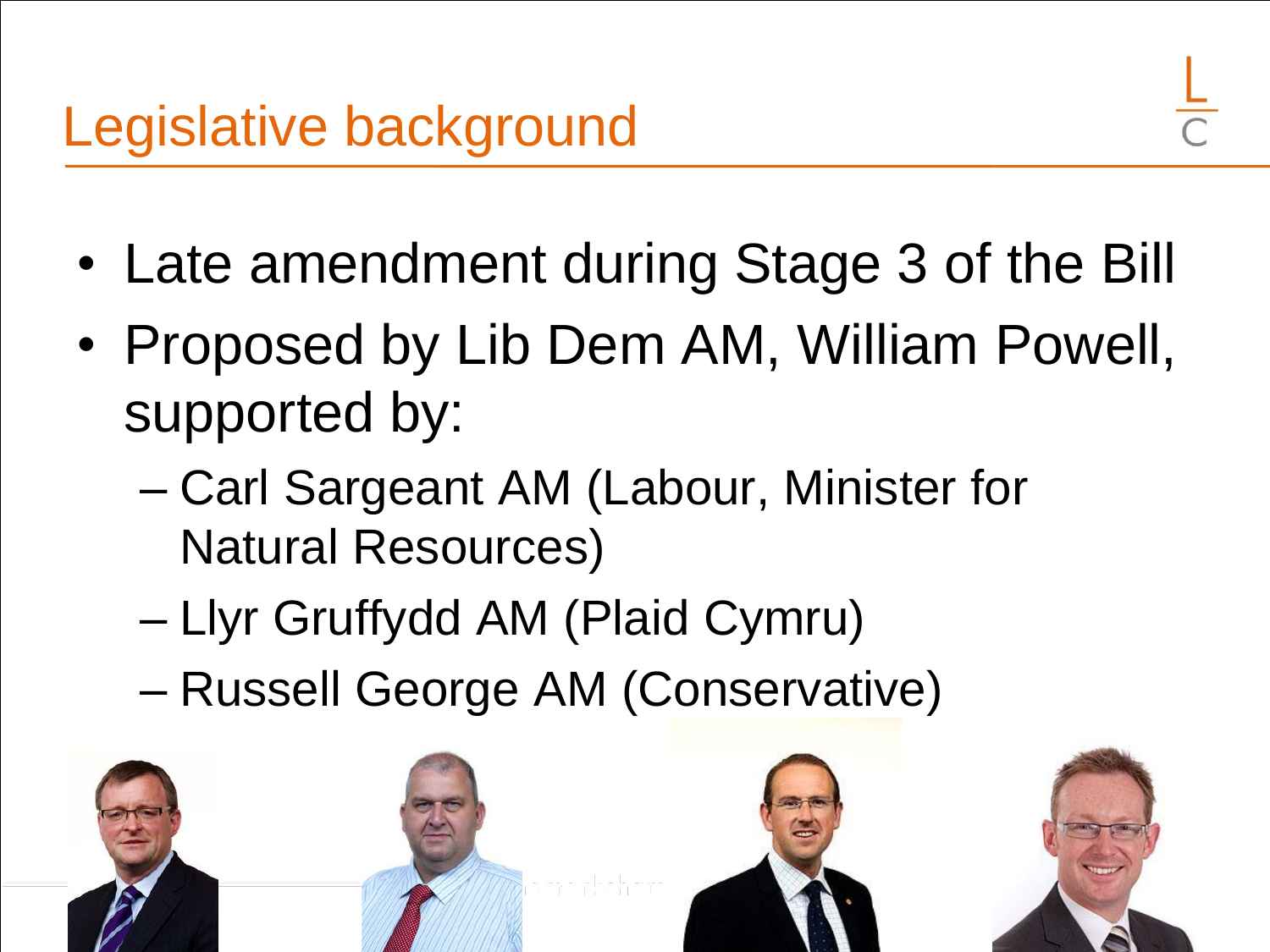- Late amendment during Stage 3 of the Bill
- Proposed by Lib Dem AM, William Powell, supported by:
	- Carl Sargeant AM (Labour, Minister for Natural Resources)
	- Llyr Gruffydd AM (Plaid Cymru)
	- Russell George AM (Conservative)

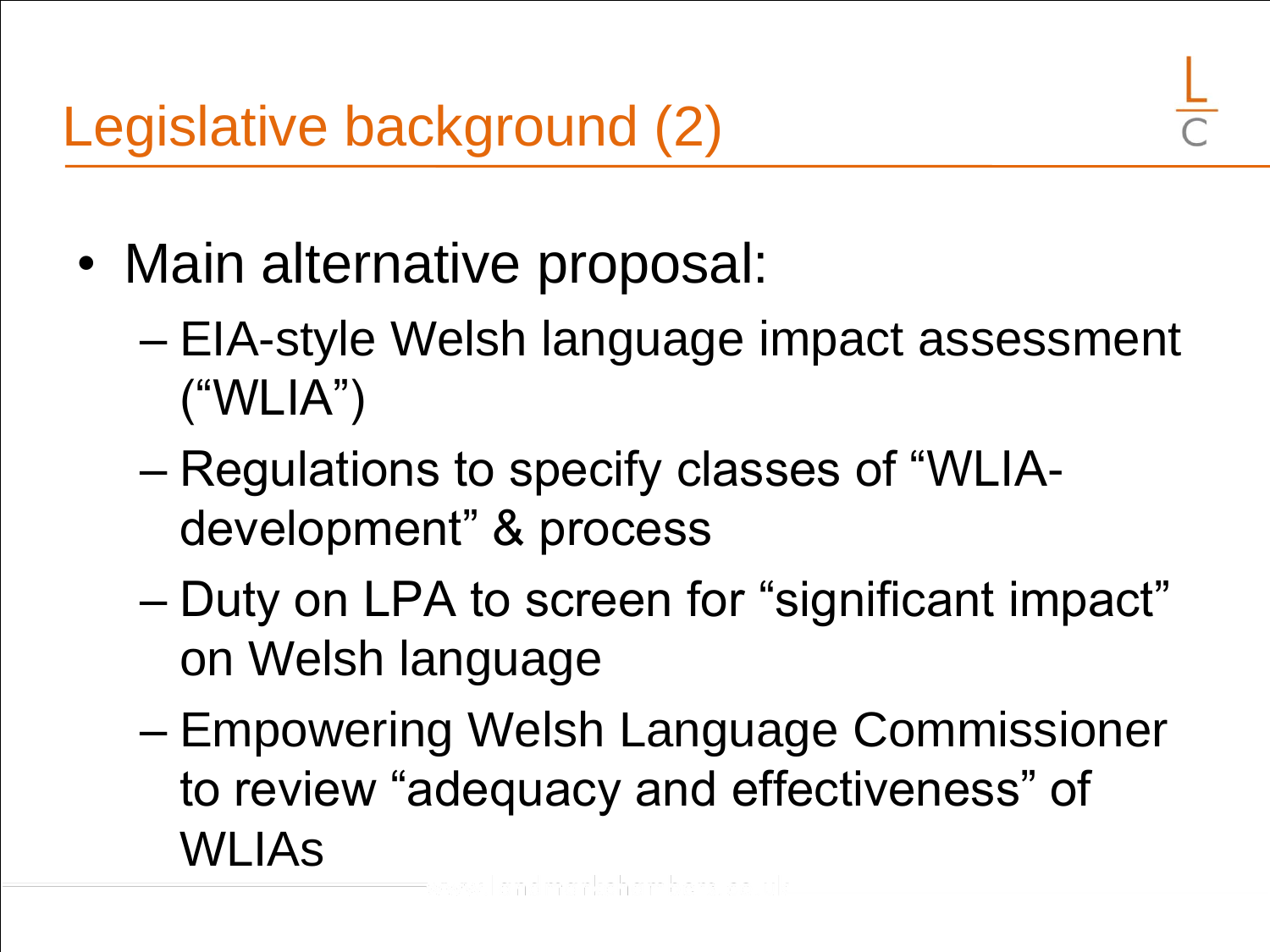- Main alternative proposal:
	- EIA-style Welsh language impact assessment ("WLIA")
	- Regulations to specify classes of "WLIAdevelopment" & process
	- Duty on LPA to screen for "significant impact" on Welsh language
	- Empowering Welsh Language Commissioner to review "adequacy and effectiveness" of WLIAs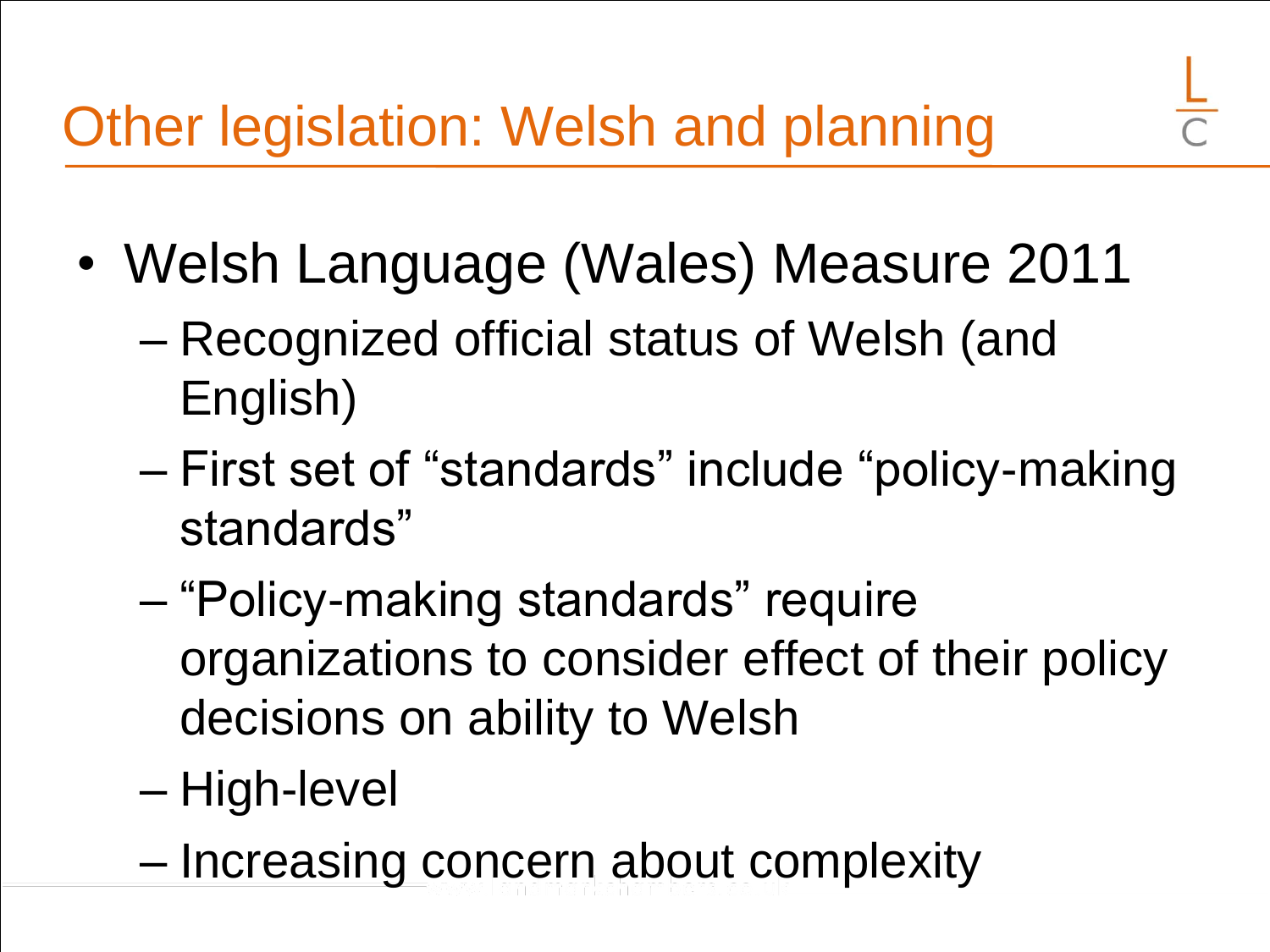- Welsh Language (Wales) Measure 2011
	- Recognized official status of Welsh (and English)
	- First set of "standards" include "policy-making standards"
	- "Policy-making standards" require organizations to consider effect of their policy decisions on ability to Welsh
	- High-level
	- Increasing concern about complexity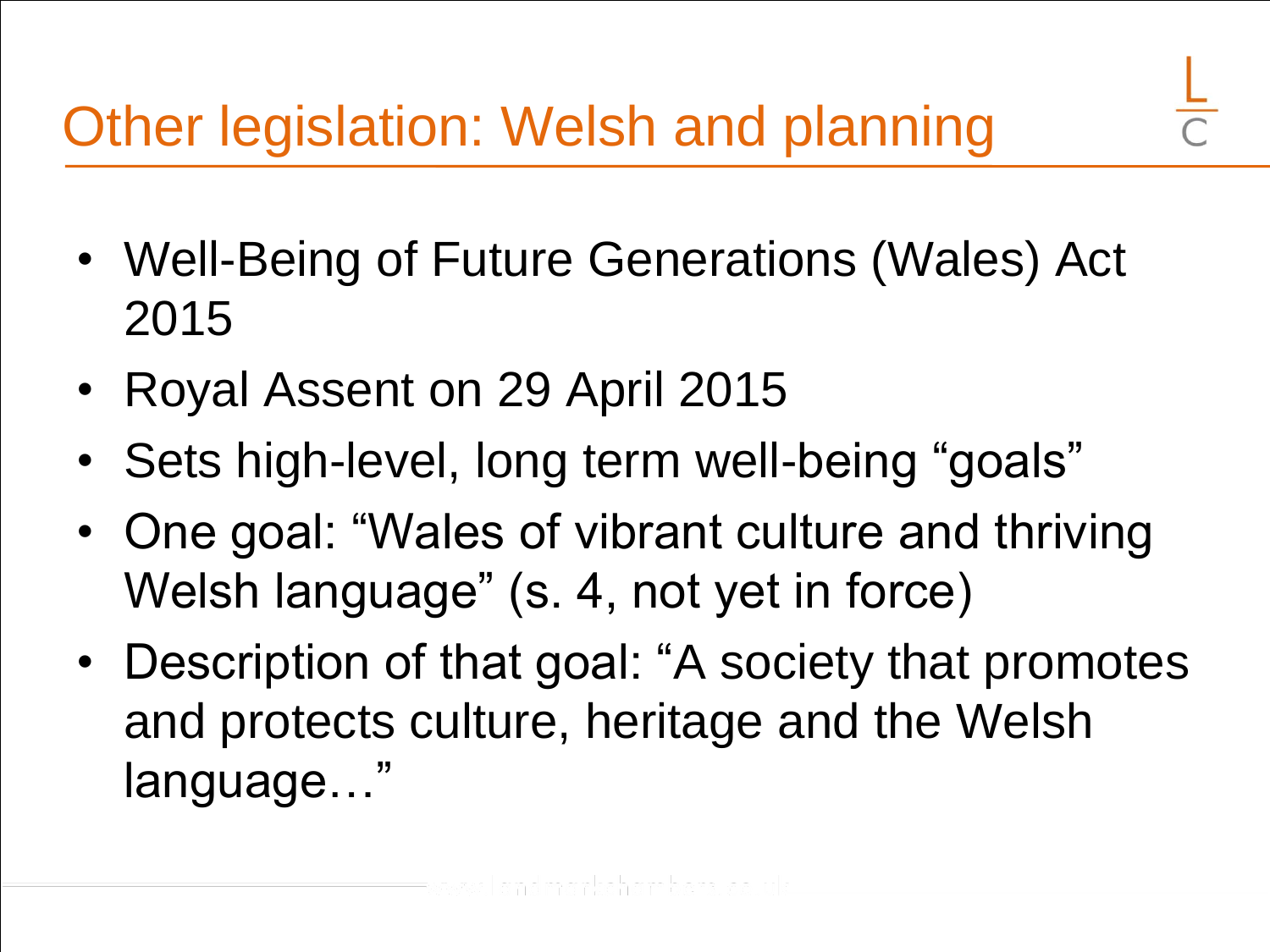- Well-Being of Future Generations (Wales) Act 2015
- Royal Assent on 29 April 2015
- Sets high-level, long term well-being "goals"
- One goal: "Wales of vibrant culture and thriving Welsh language" (s. 4, not yet in force)
- Description of that goal: "A society that promotes and protects culture, heritage and the Welsh language…"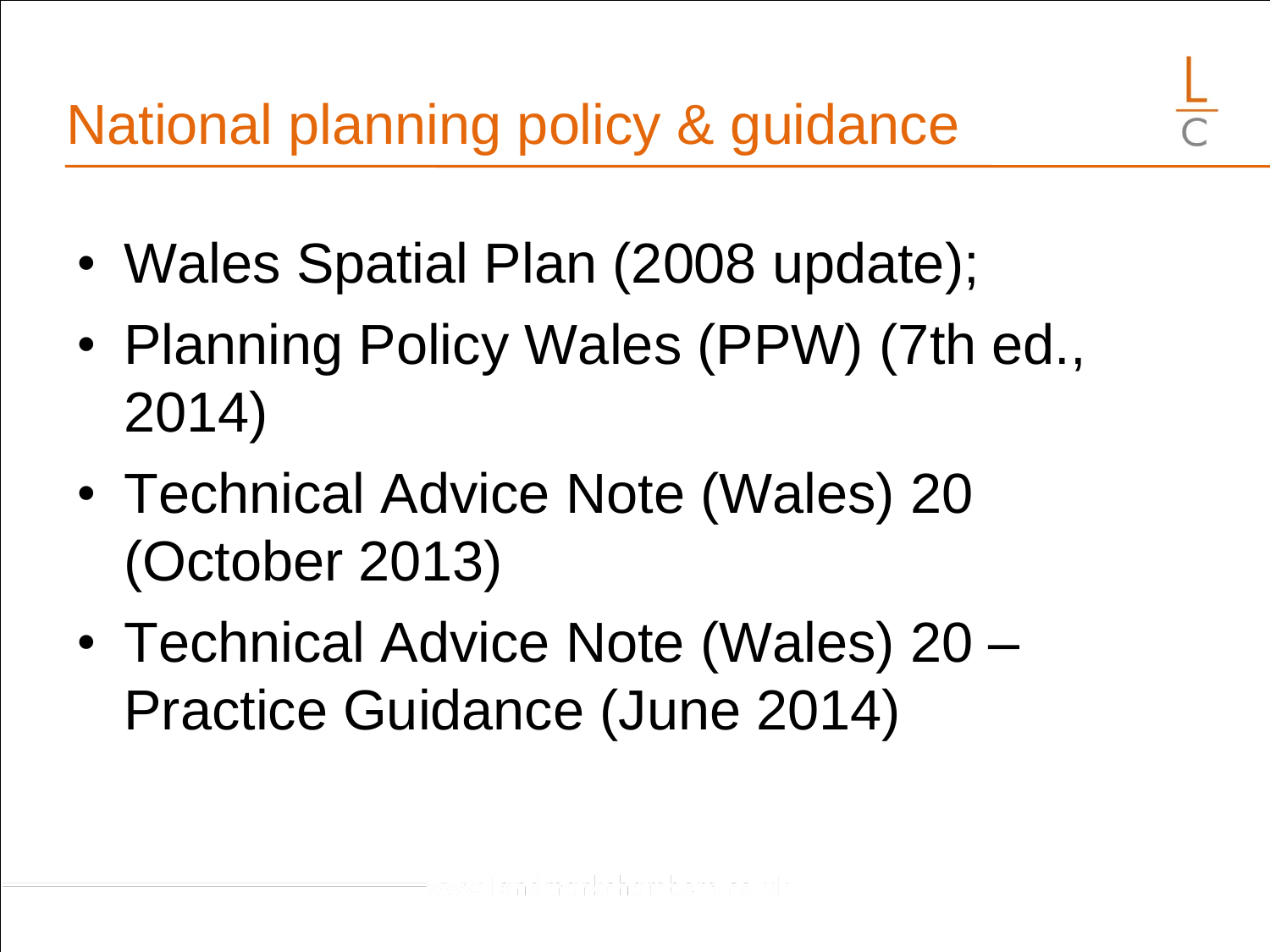- Wales Spatial Plan (2008 update);
- Planning Policy Wales (PPW) (7th ed., 2014)
- Technical Advice Note (Wales) 20 (October 2013)
- Technical Advice Note (Wales) 20 Practice Guidance (June 2014)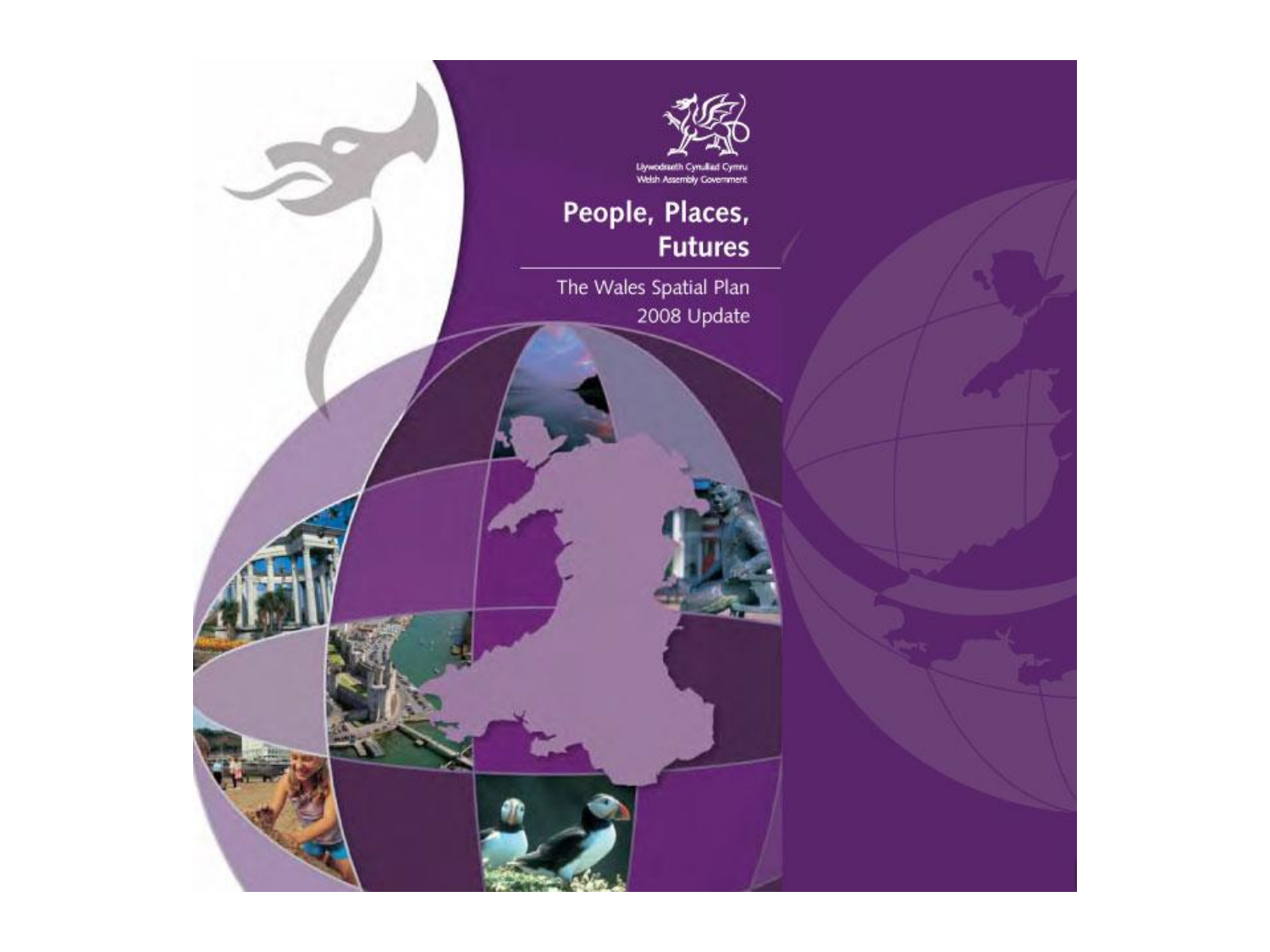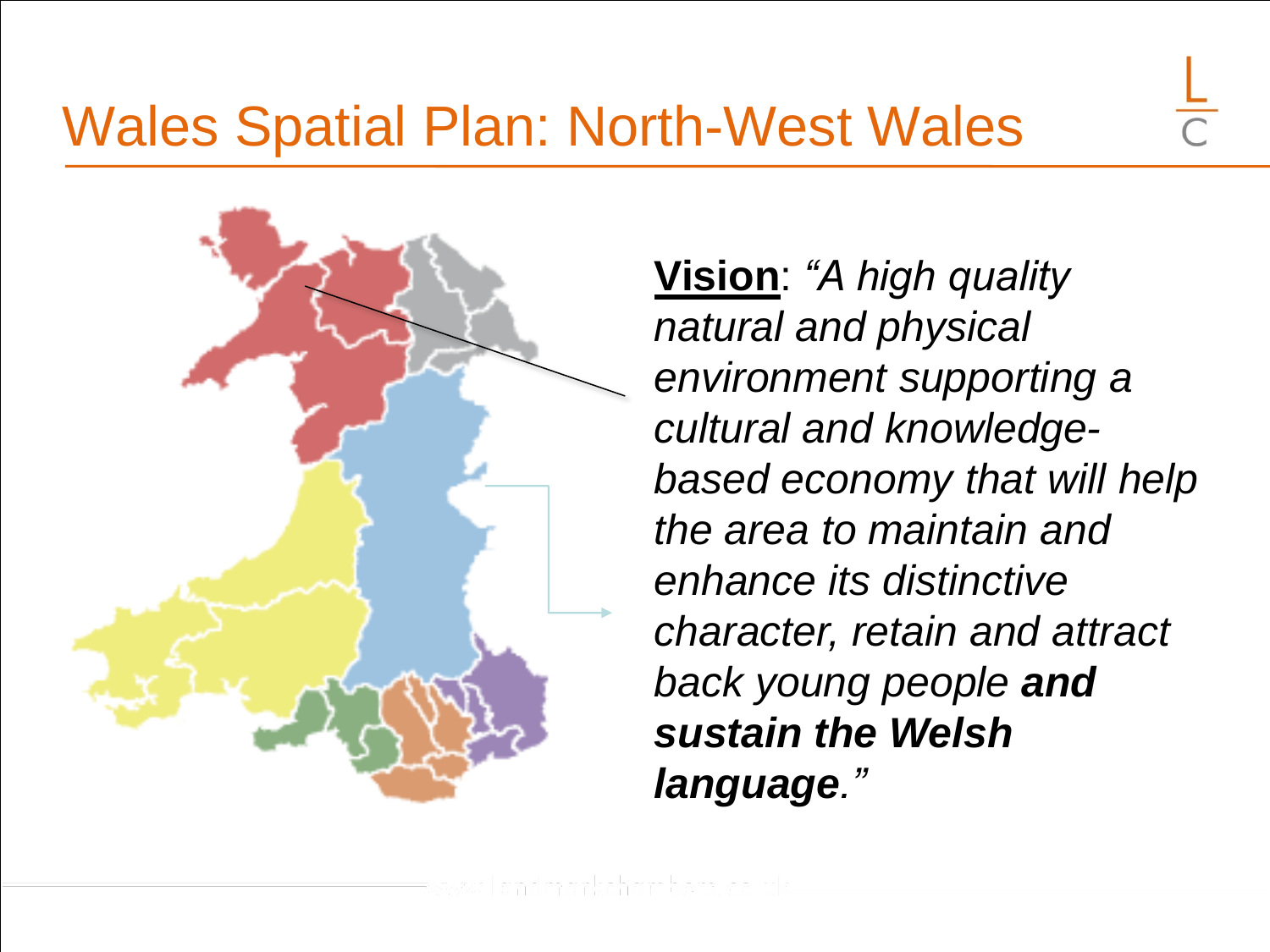#### Wales Spatial Plan: North-West Wales



**Vision**: *"A high quality natural and physical environment supporting a cultural and knowledgebased economy that will help the area to maintain and enhance its distinctive character, retain and attract back young people and sustain the Welsh language."*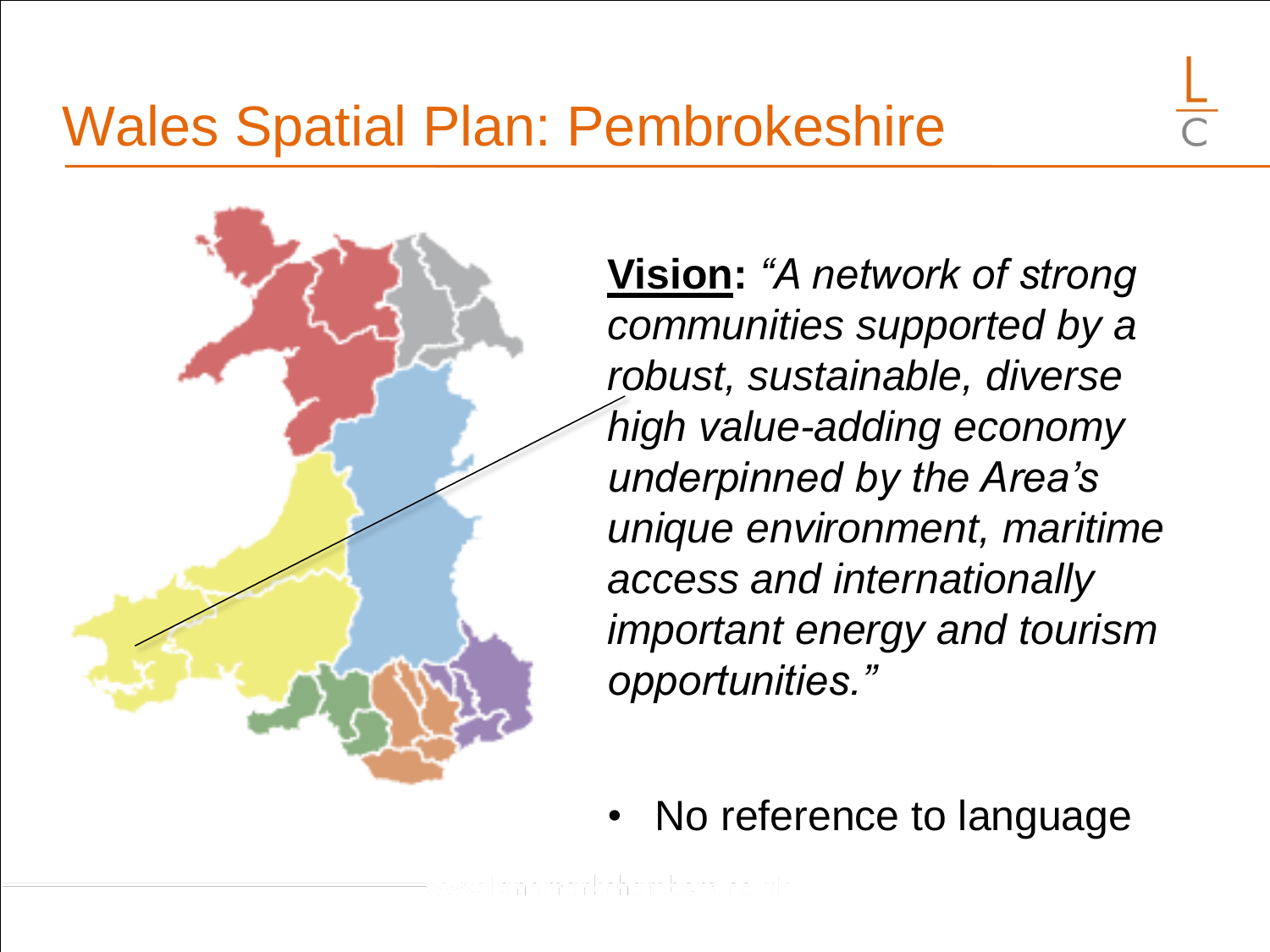**Vision:** *"A network of strong communities supported by a robust, sustainable, diverse high value-adding economy underpinned by the Area's unique environment, maritime access and internationally important energy and tourism opportunities."*

No reference to language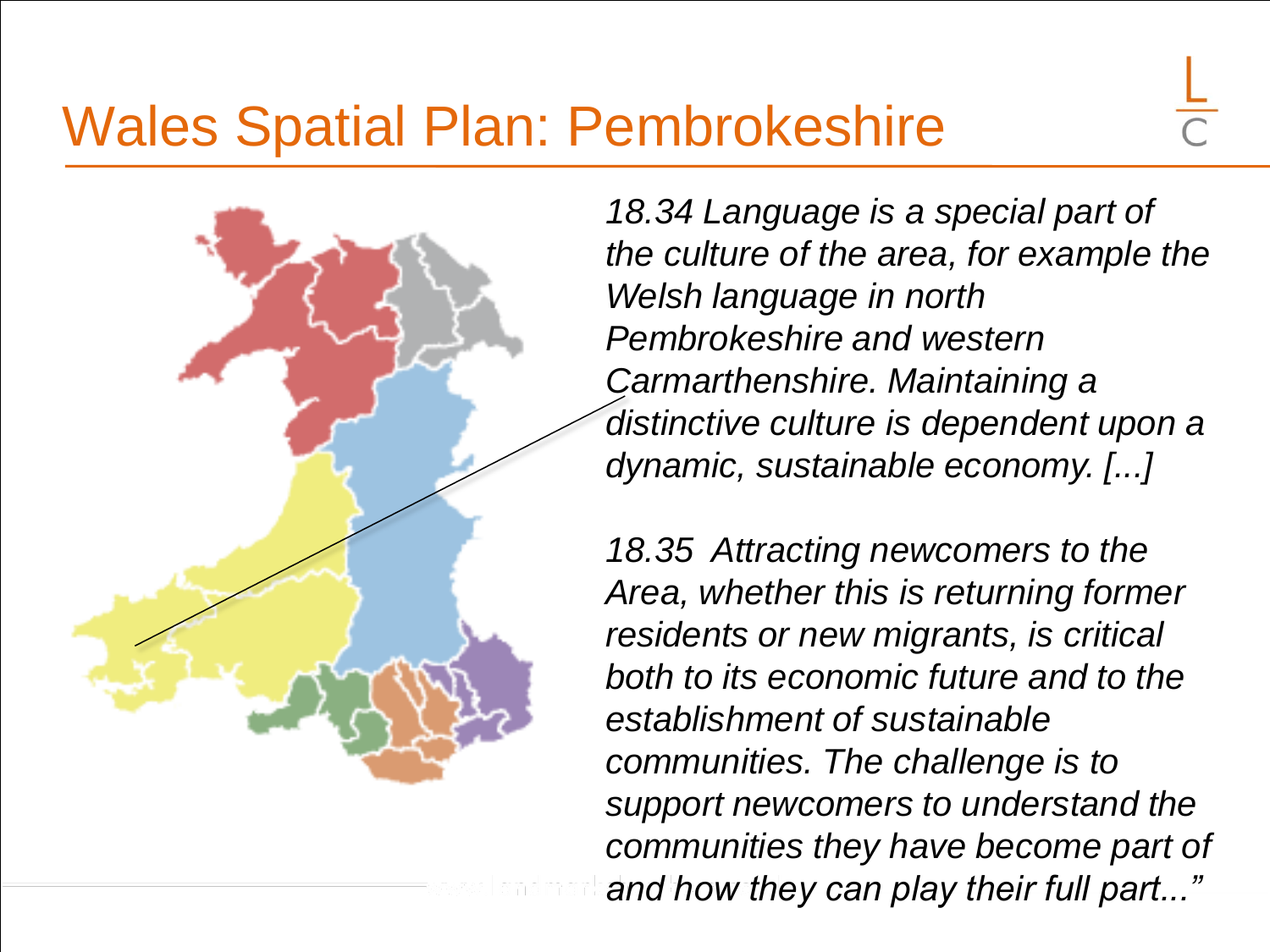#### Wales Spatial Plan: Pembrokeshire

*18.34 Language is a special part of the culture of the area, for example the Welsh language in north Pembrokeshire and western Carmarthenshire. Maintaining a distinctive culture is dependent upon a dynamic, sustainable economy. [...]*

*18.35 Attracting newcomers to the Area, whether this is returning former residents or new migrants, is critical both to its economic future and to the establishment of sustainable communities. The challenge is to support newcomers to understand the communities they have become part of and how they can play their full part..."*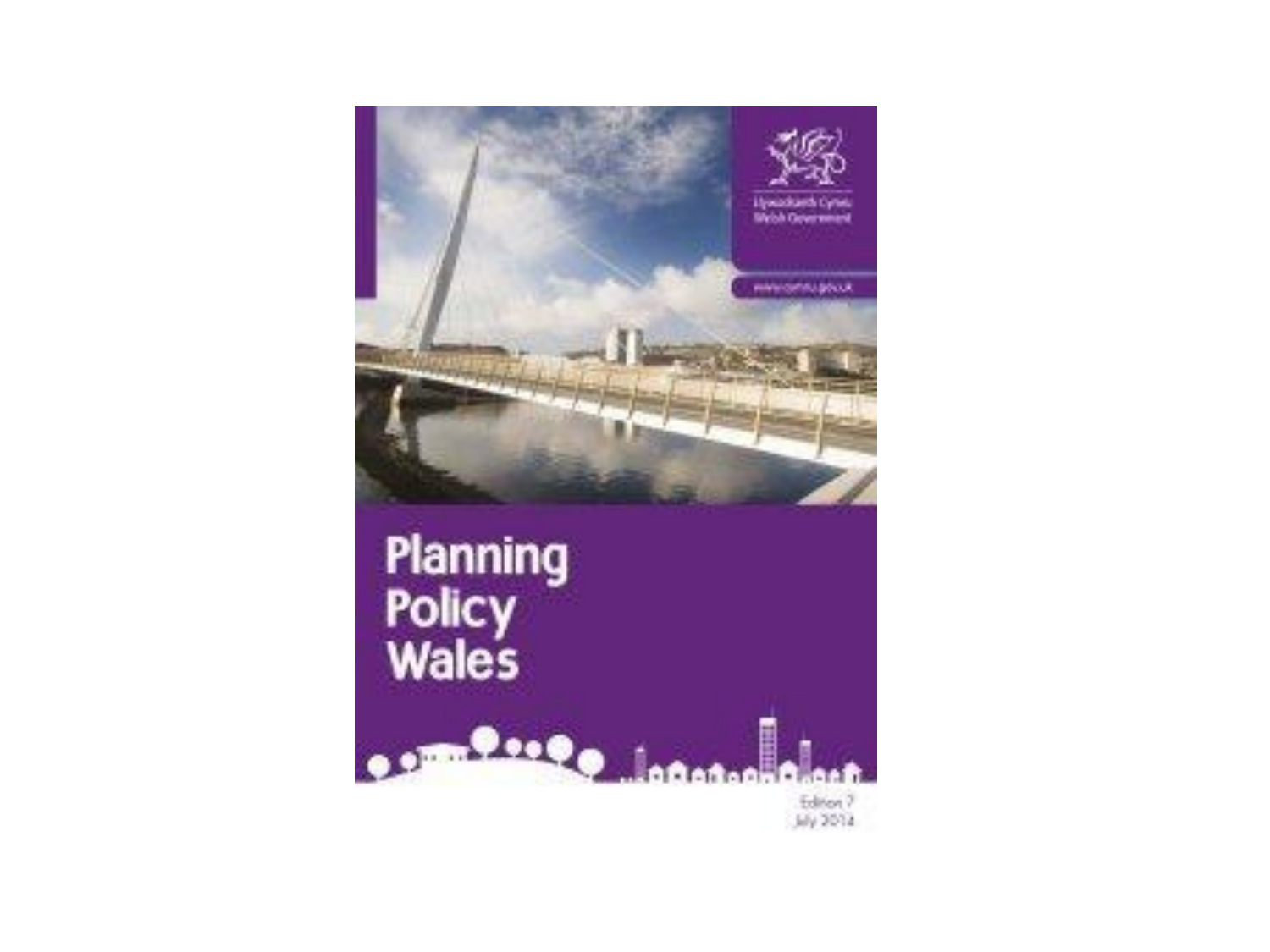

Editor 7<br>July 2014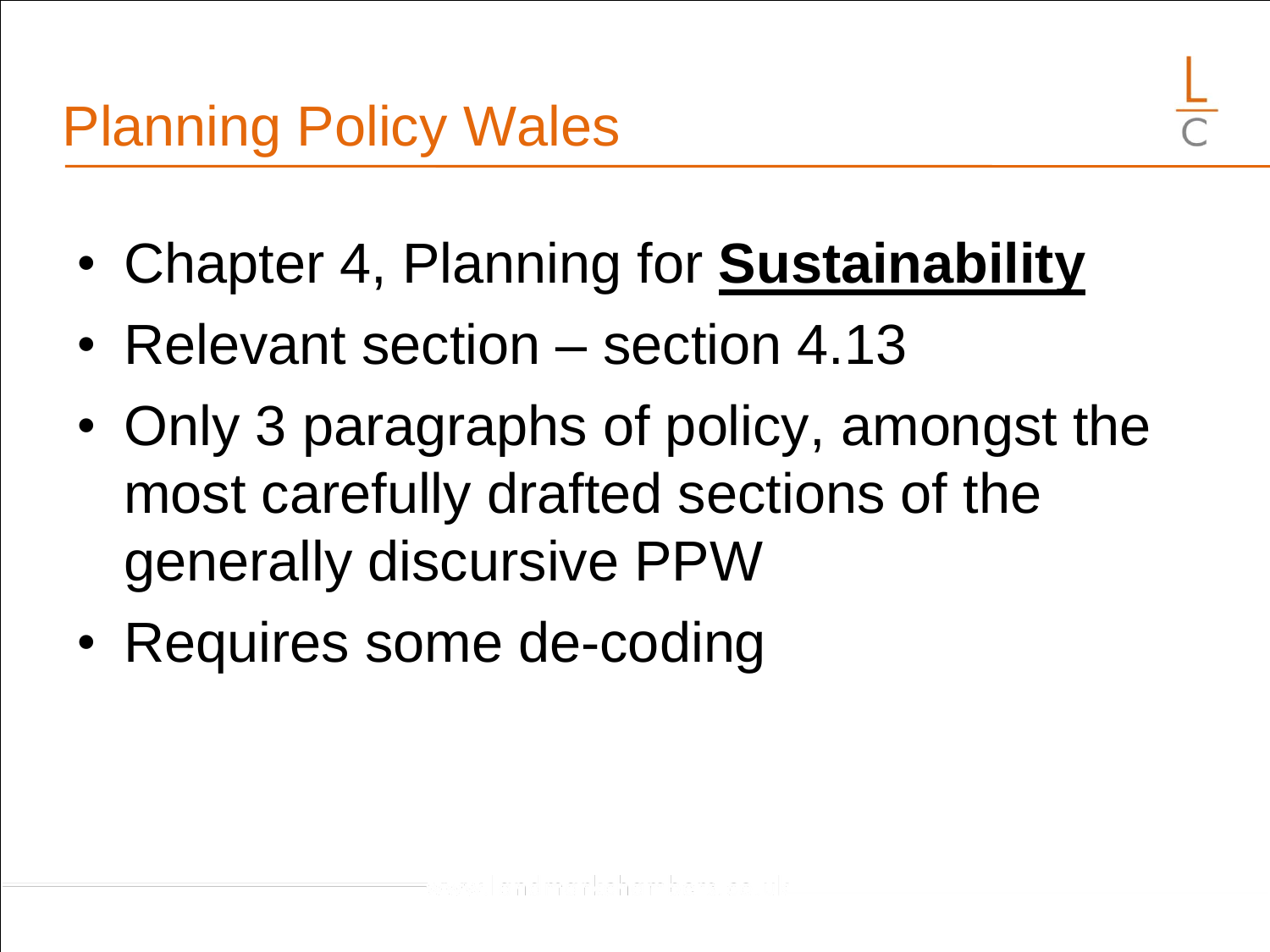- Chapter 4, Planning for **Sustainability**
- Relevant section section 4.13
- Only 3 paragraphs of policy, amongst the most carefully drafted sections of the generally discursive PPW
- Requires some de-coding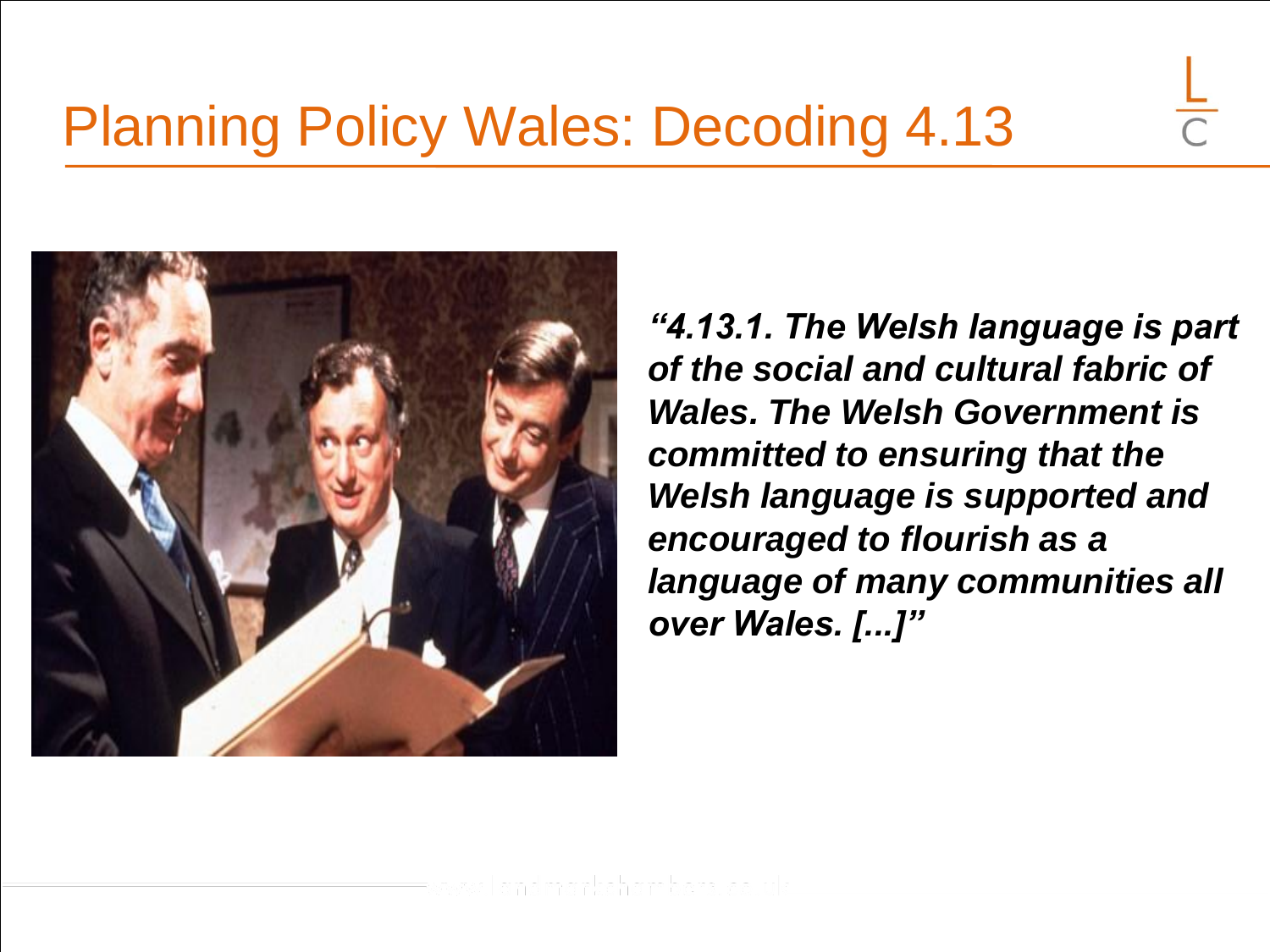

*"4.13.1. The Welsh language is part of the social and cultural fabric of Wales. The Welsh Government is committed to ensuring that the Welsh language is supported and encouraged to flourish as a language of many communities all over Wales. [...]"*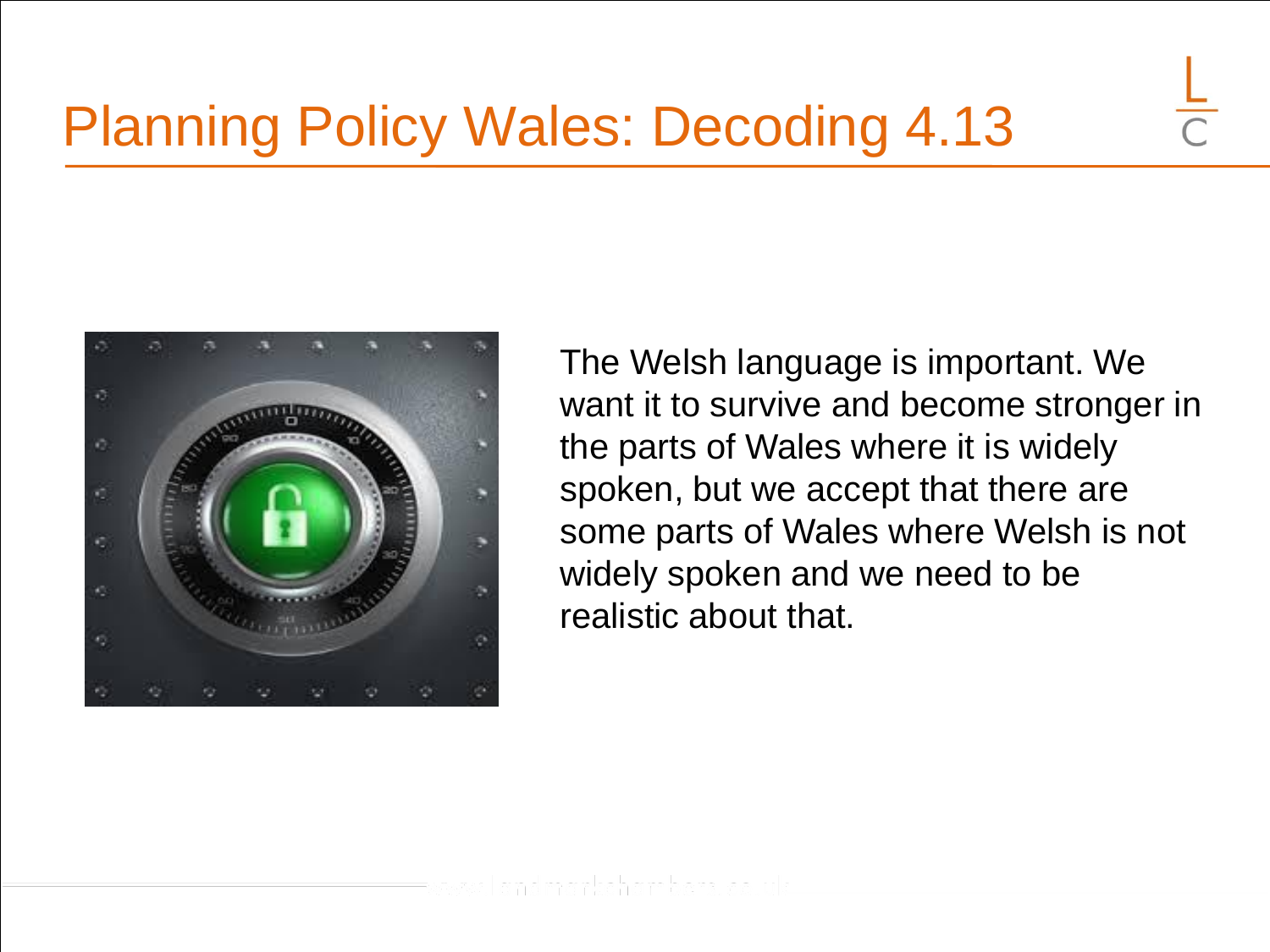

The Welsh language is important. We want it to survive and become stronger in the parts of Wales where it is widely spoken, but we accept that there are some parts of Wales where Welsh is not widely spoken and we need to be realistic about that.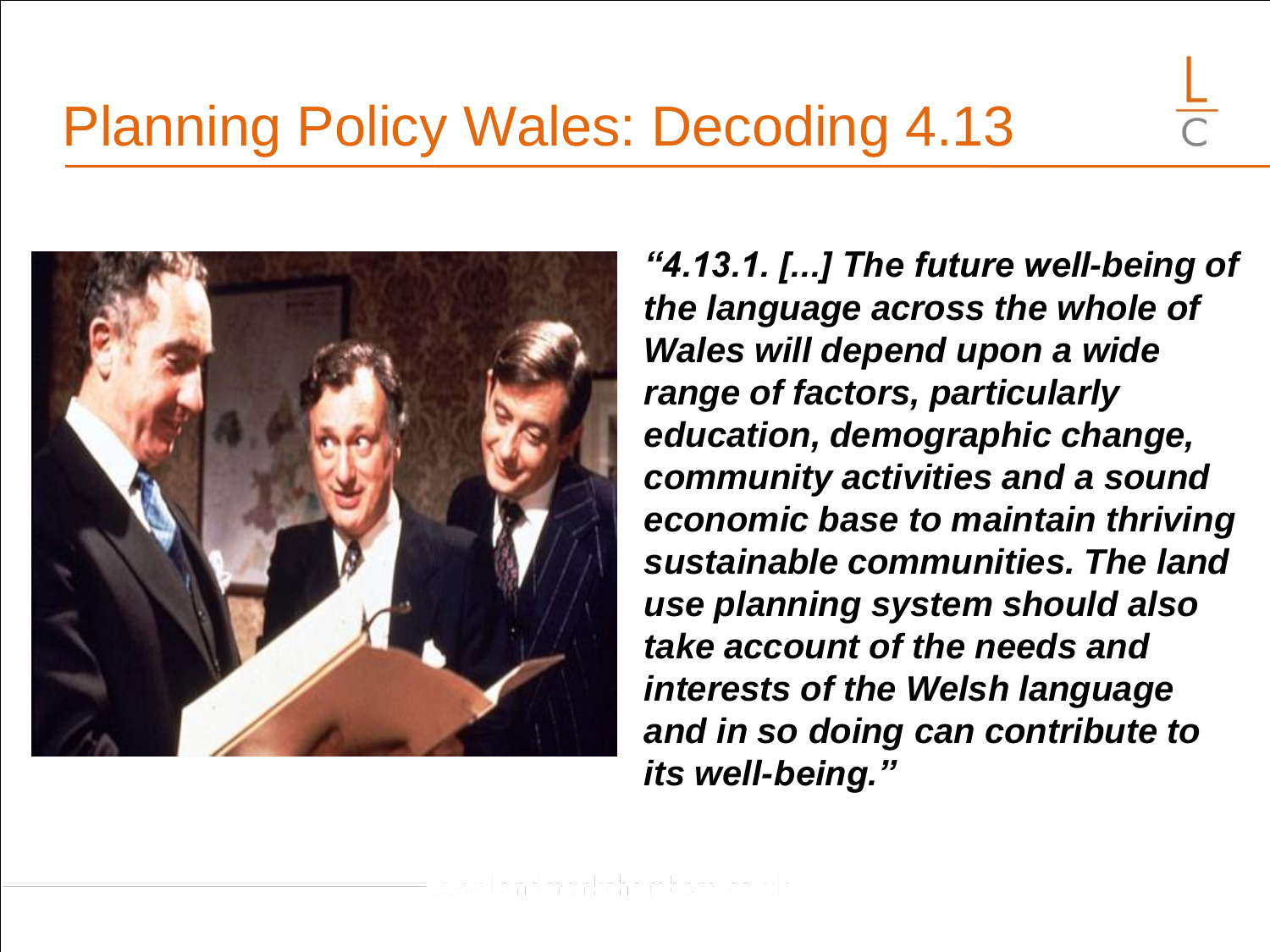

*"4.13.1. [...] The future well-being of the language across the whole of Wales will depend upon a wide range of factors, particularly education, demographic change, community activities and a sound economic base to maintain thriving sustainable communities. The land use planning system should also take account of the needs and interests of the Welsh language and in so doing can contribute to its well-being."*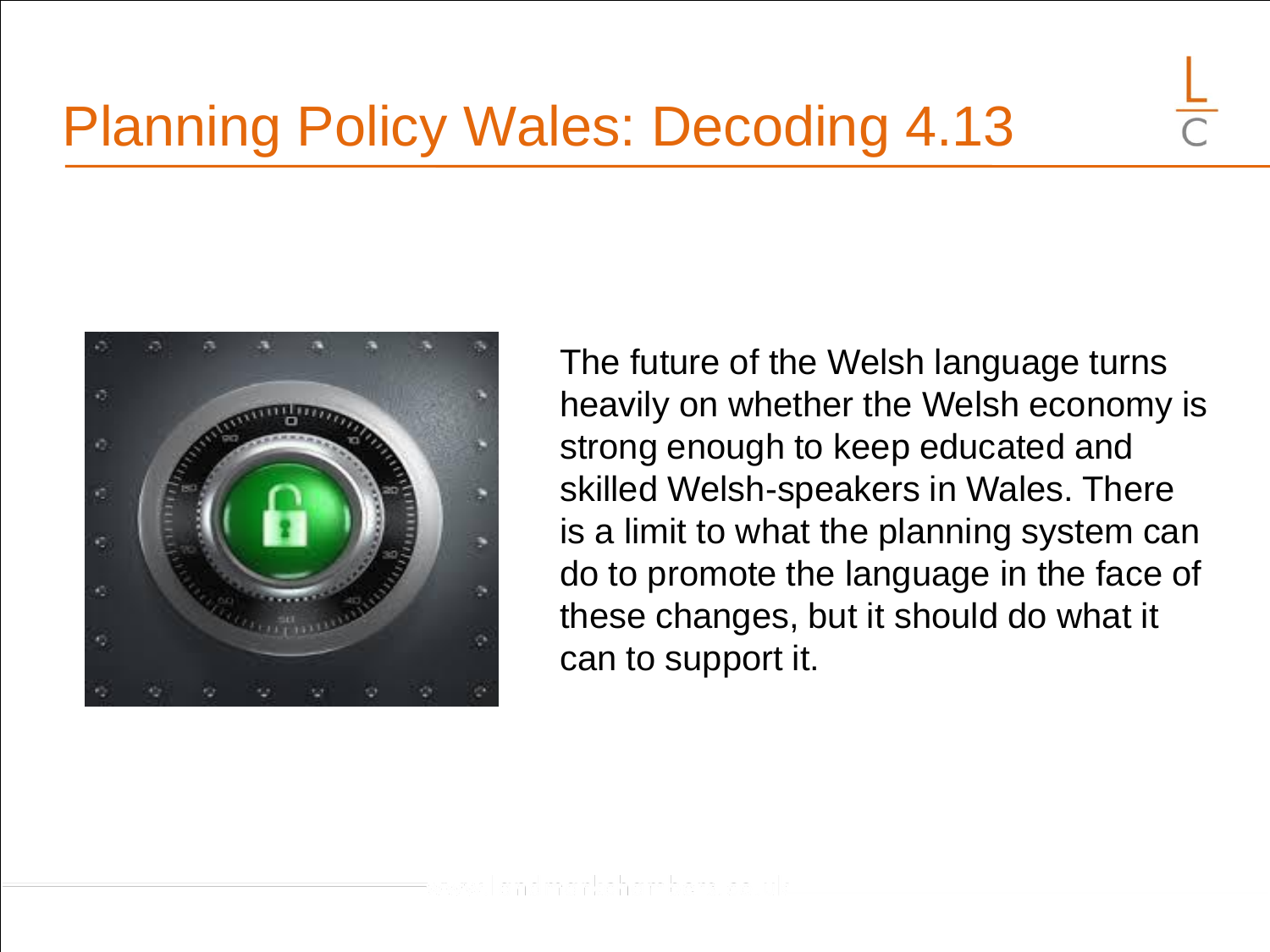

The future of the Welsh language turns heavily on whether the Welsh economy is strong enough to keep educated and skilled Welsh-speakers in Wales. There is a limit to what the planning system can do to promote the language in the face of these changes, but it should do what it can to support it.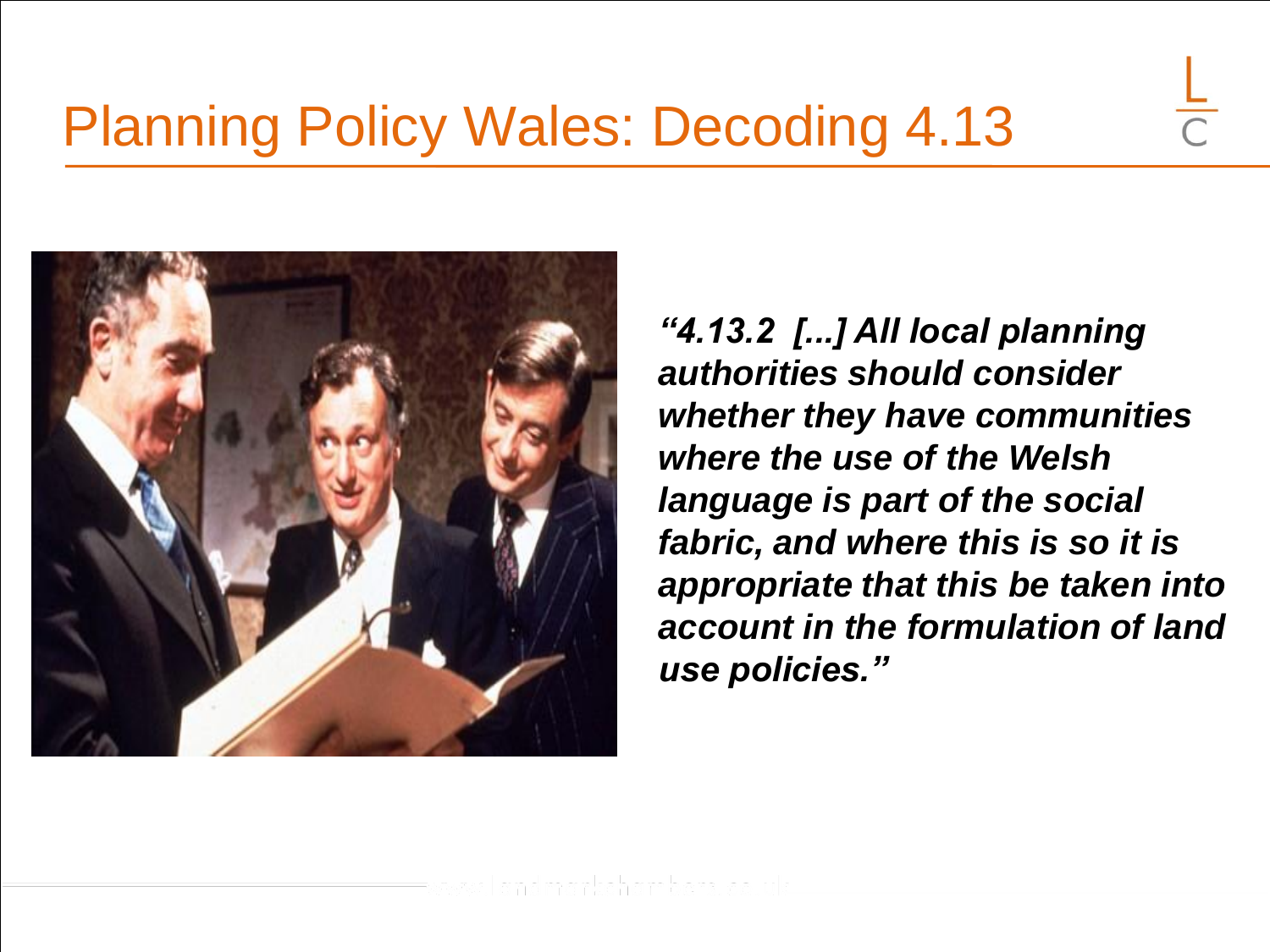

*"4.13.2 [...] All local planning authorities should consider whether they have communities where the use of the Welsh language is part of the social fabric, and where this is so it is appropriate that this be taken into account in the formulation of land use policies."*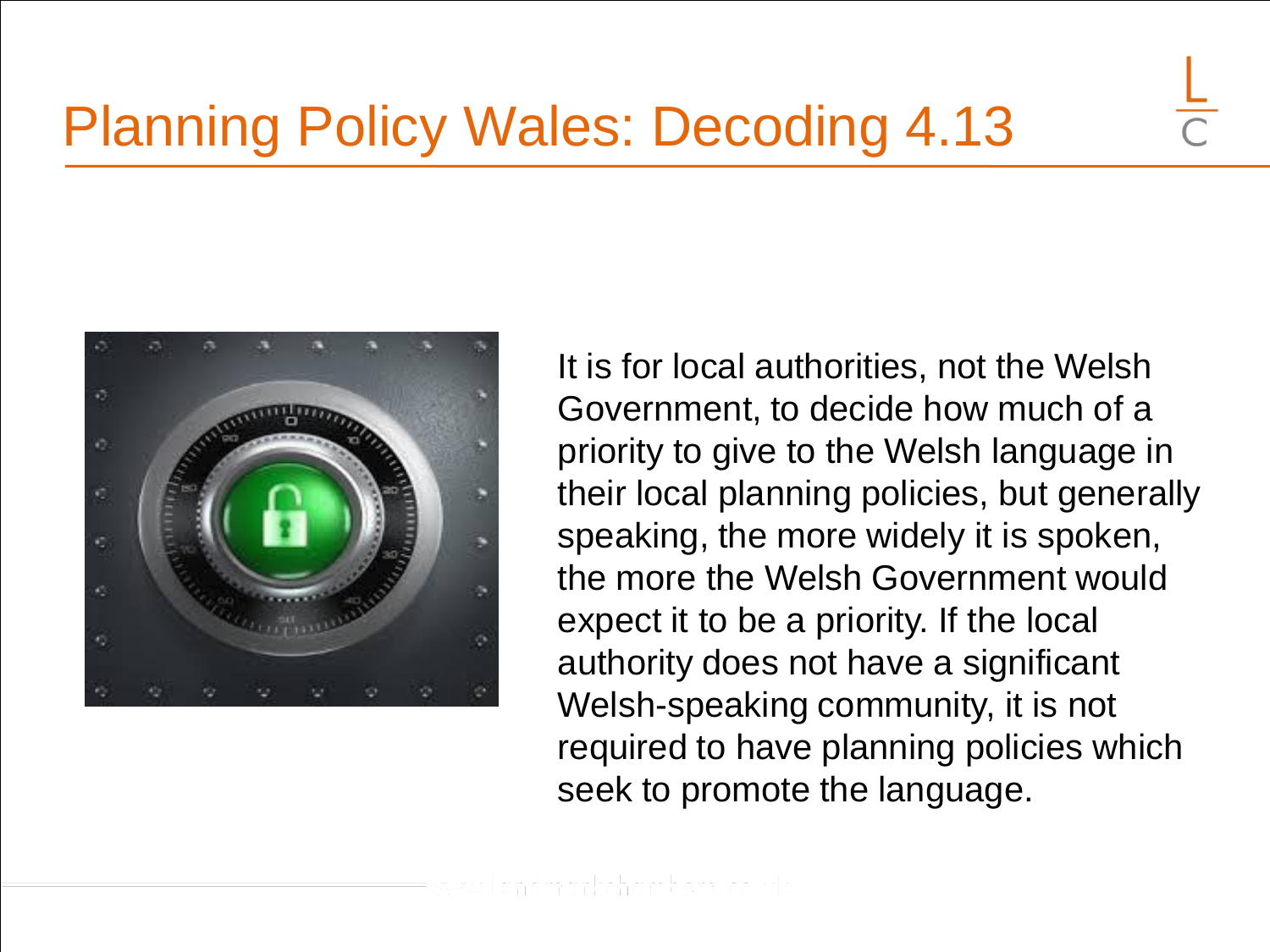

It is for local authorities, not the Welsh Government, to decide how much of a priority to give to the Welsh language in their local planning policies, but generally speaking, the more widely it is spoken, the more the Welsh Government would expect it to be a priority. If the local authority does not have a significant Welsh-speaking community, it is not required to have planning policies which seek to promote the language.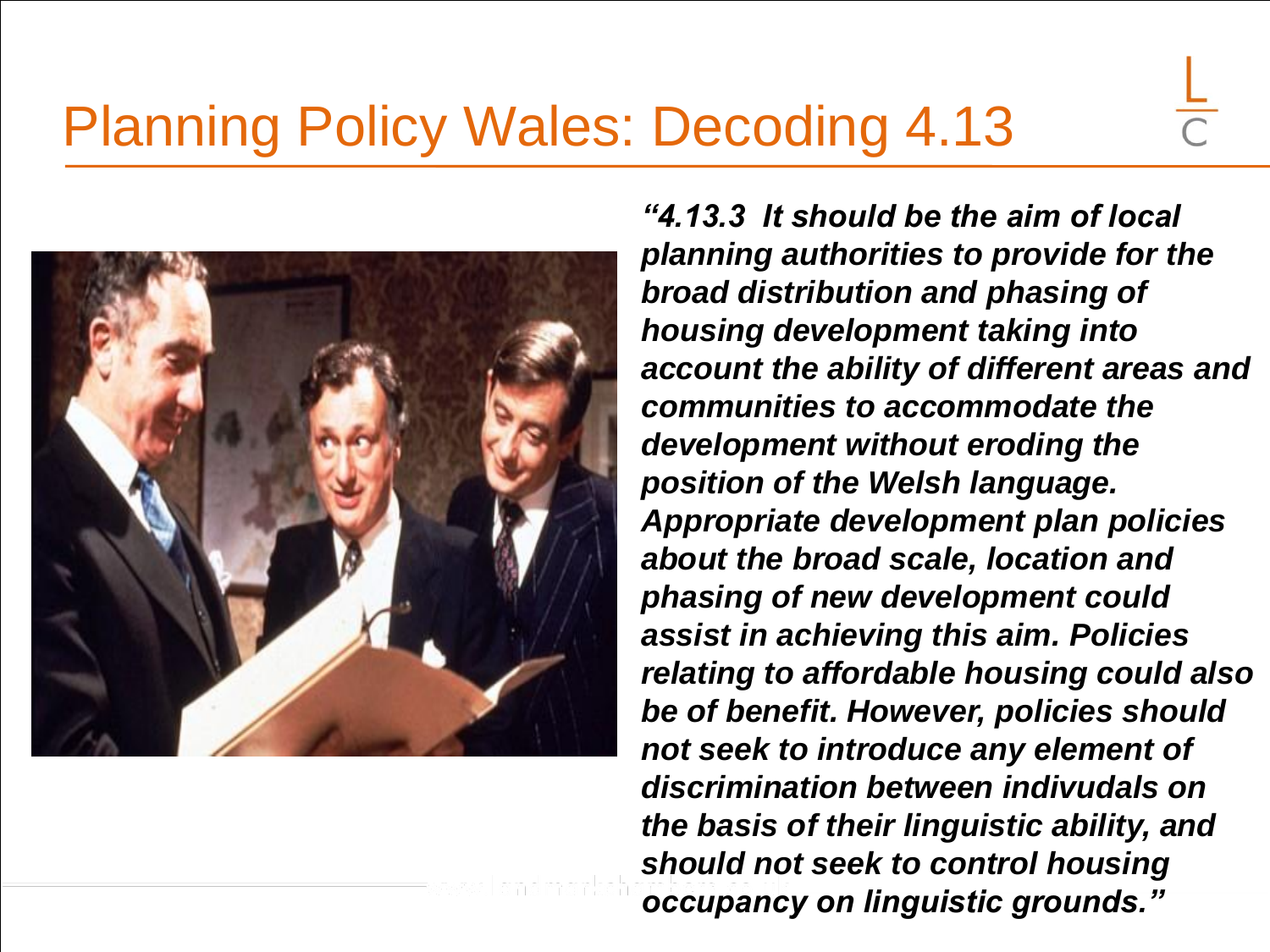

*"4.13.3 It should be the aim of local planning authorities to provide for the broad distribution and phasing of housing development taking into account the ability of different areas and communities to accommodate the development without eroding the position of the Welsh language. Appropriate development plan policies about the broad scale, location and phasing of new development could assist in achieving this aim. Policies relating to affordable housing could also be of benefit. However, policies should not seek to introduce any element of discrimination between indivudals on the basis of their linguistic ability, and should not seek to control housing occupancy on linguistic grounds."*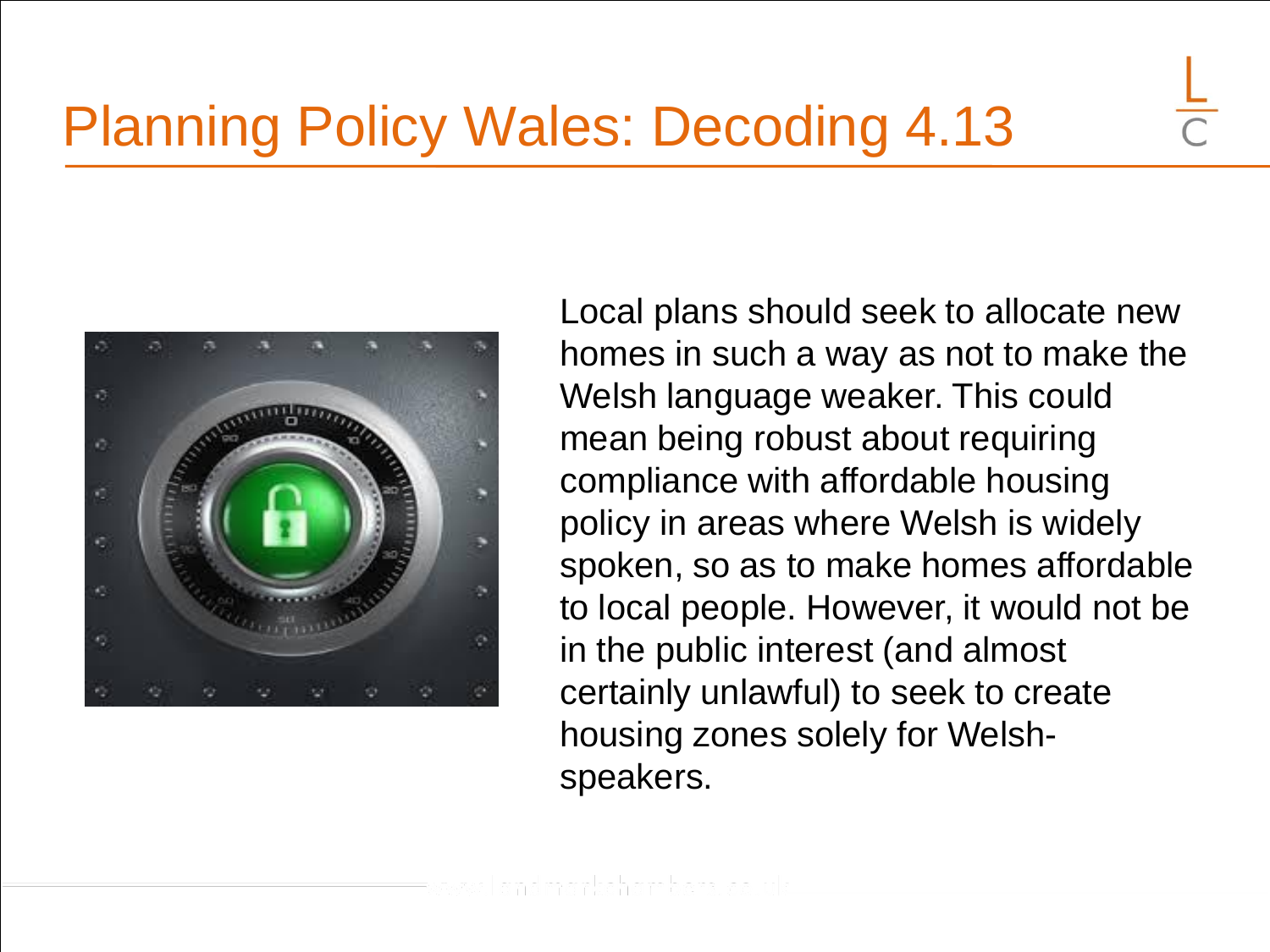

Local plans should seek to allocate new homes in such a way as not to make the Welsh language weaker. This could mean being robust about requiring compliance with affordable housing policy in areas where Welsh is widely spoken, so as to make homes affordable to local people. However, it would not be in the public interest (and almost certainly unlawful) to seek to create housing zones solely for Welshspeakers.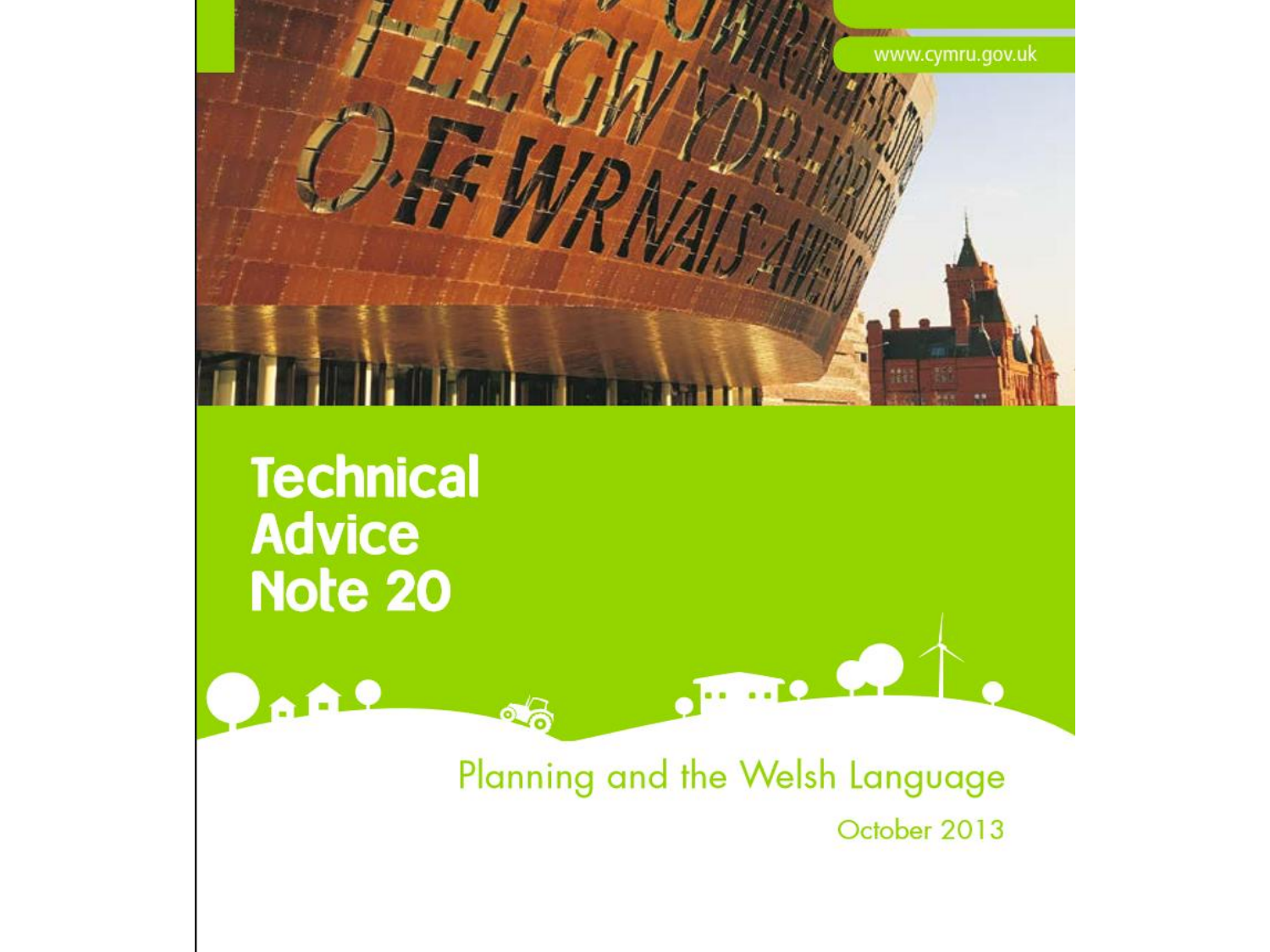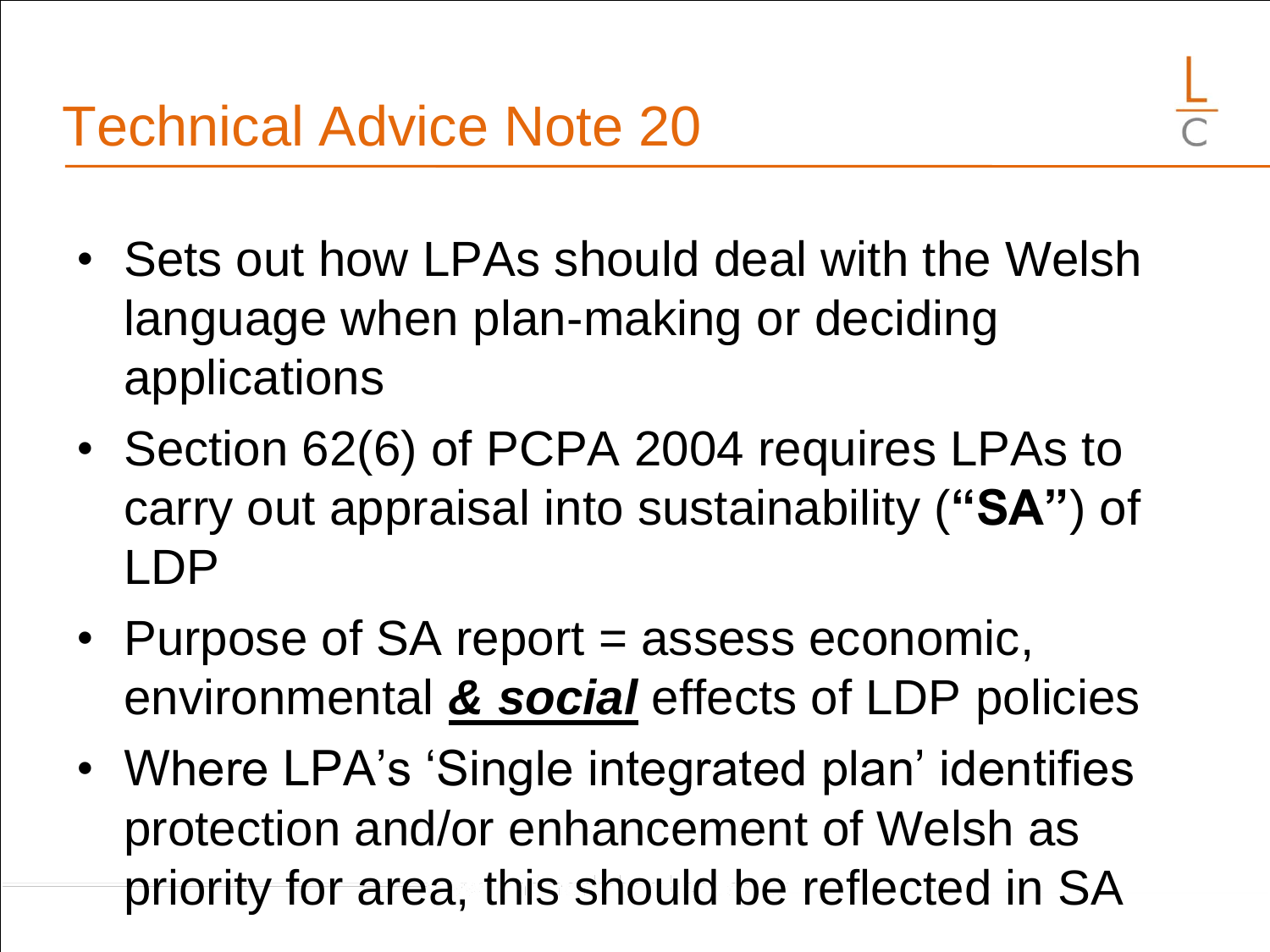- Sets out how LPAs should deal with the Welsh language when plan-making or deciding applications
- Section 62(6) of PCPA 2004 requires LPAs to carry out appraisal into sustainability (**"SA"**) of LDP
- Purpose of SA report = assess economic, environmental *& social* effects of LDP policies
- Where LPA's 'Single integrated plan' identifies protection and/or enhancement of Welsh as priority for area, this should be reflected in SA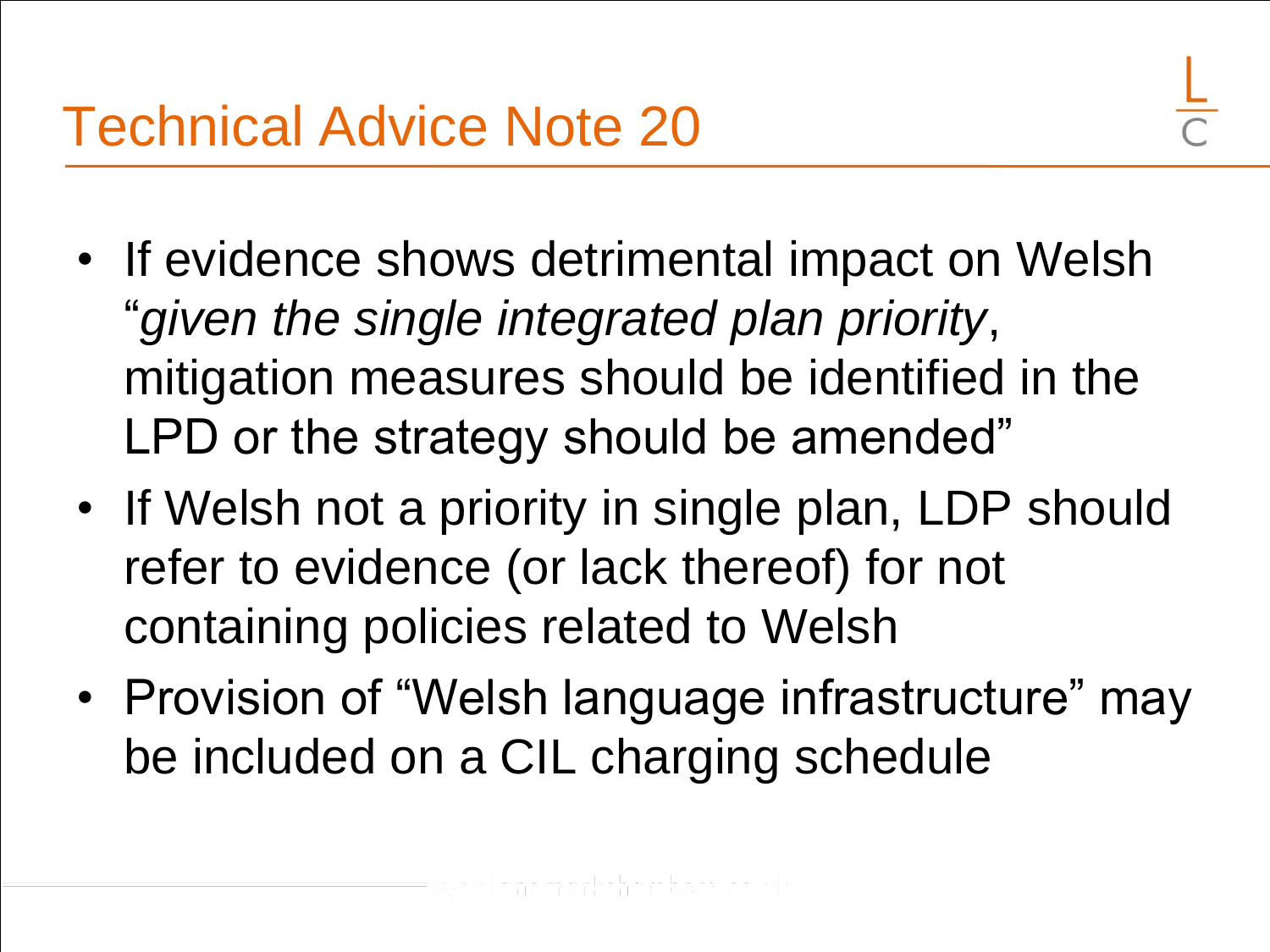- If evidence shows detrimental impact on Welsh "*given the single integrated plan priority*, mitigation measures should be identified in the LPD or the strategy should be amended"
- If Welsh not a priority in single plan, LDP should refer to evidence (or lack thereof) for not containing policies related to Welsh
- Provision of "Welsh language infrastructure" may be included on a CIL charging schedule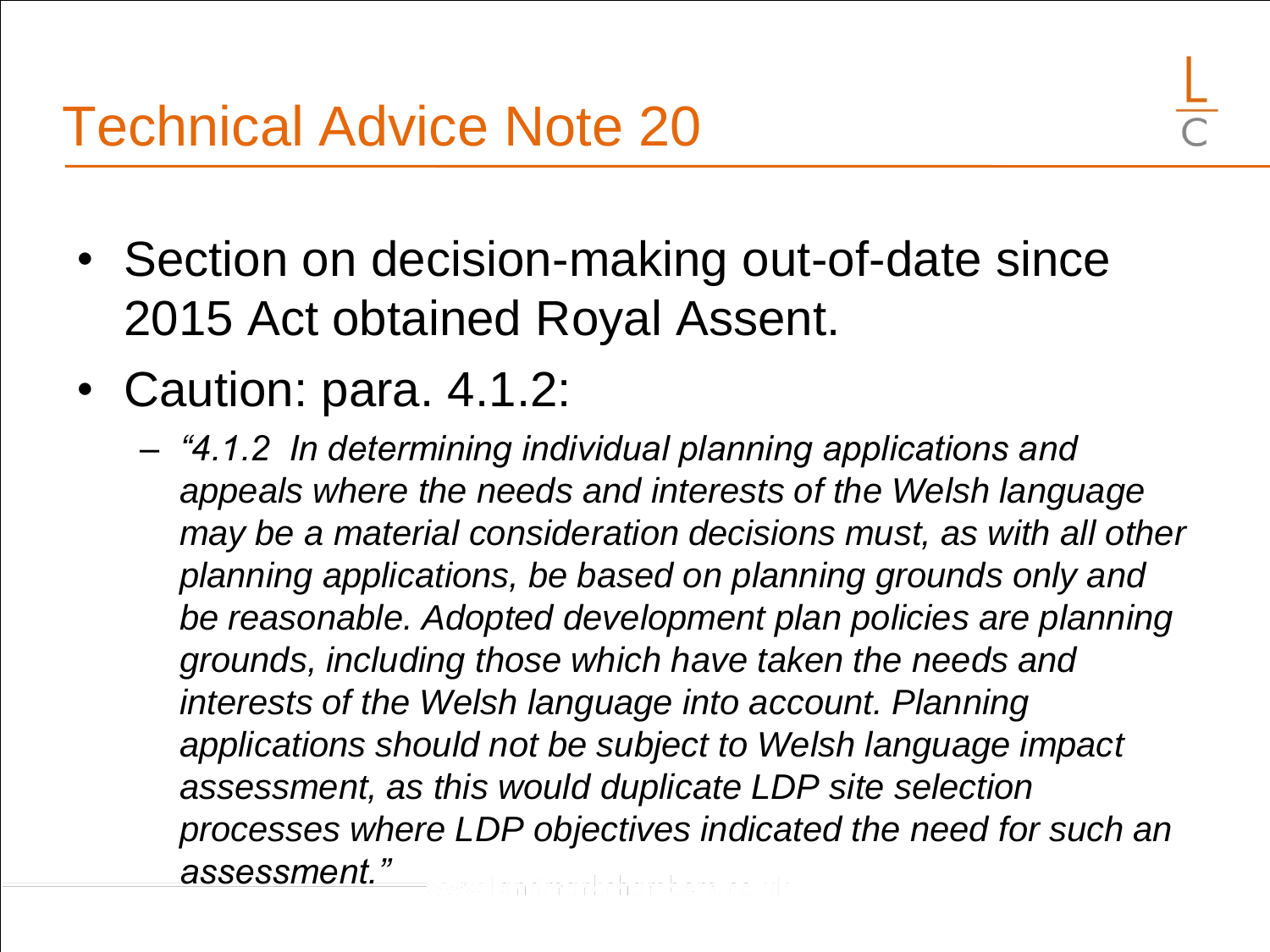- Section on decision-making out-of-date since 2015 Act obtained Royal Assent.
- Caution: para. 4.1.2:
	- *"4.1.2 In determining individual planning applications and appeals where the needs and interests of the Welsh language may be a material consideration decisions must, as with all other planning applications, be based on planning grounds only and be reasonable. Adopted development plan policies are planning grounds, including those which have taken the needs and interests of the Welsh language into account. Planning applications should not be subject to Welsh language impact assessment, as this would duplicate LDP site selection processes where LDP objectives indicated the need for such an assessment."*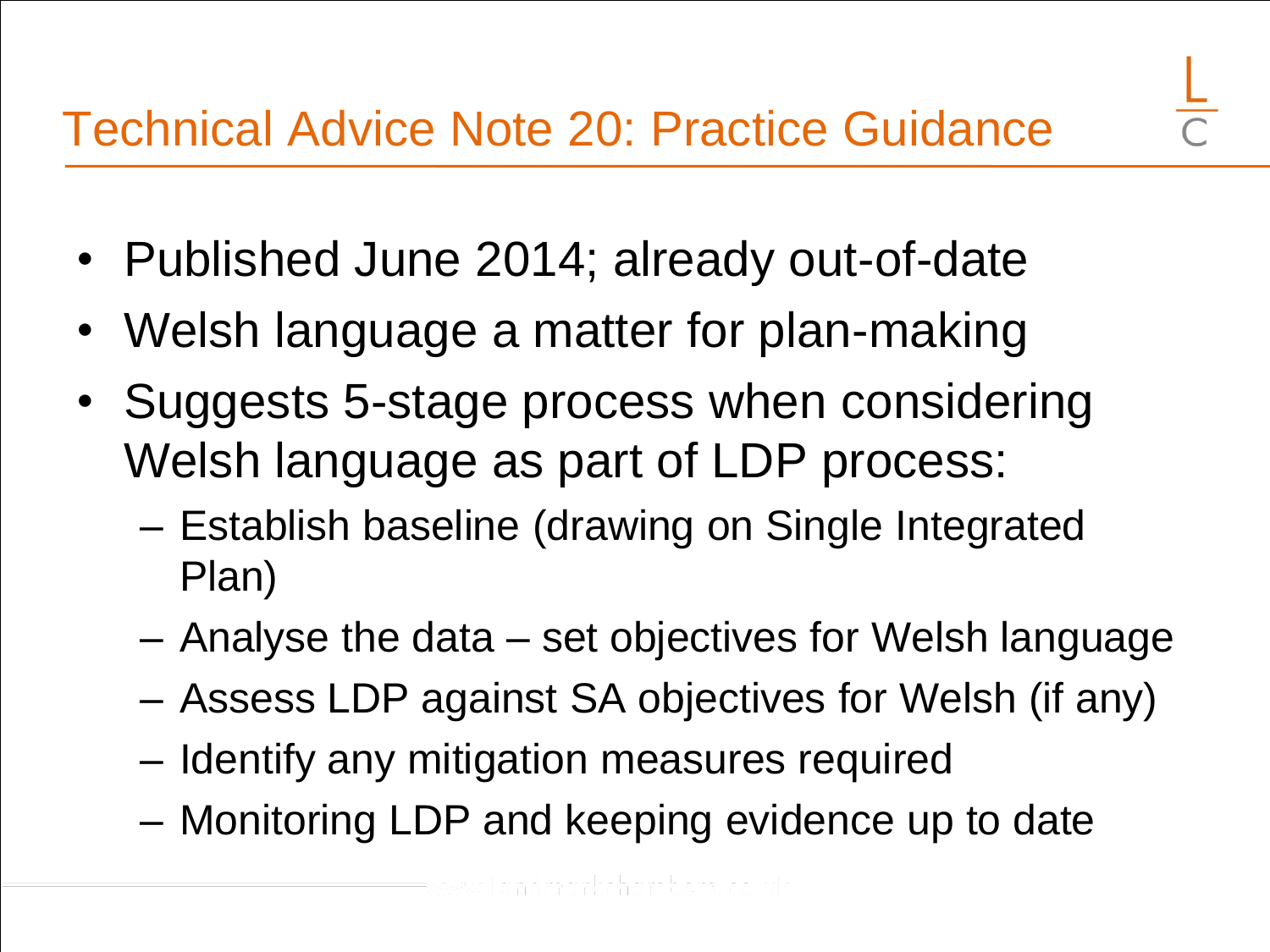- Published June 2014; already out-of-date
- Welsh language a matter for plan-making
- Suggests 5-stage process when considering Welsh language as part of LDP process:
	- Establish baseline (drawing on Single Integrated Plan)
	- Analyse the data set objectives for Welsh language
	- Assess LDP against SA objectives for Welsh (if any)
	- Identify any mitigation measures required
	- Monitoring LDP and keeping evidence up to date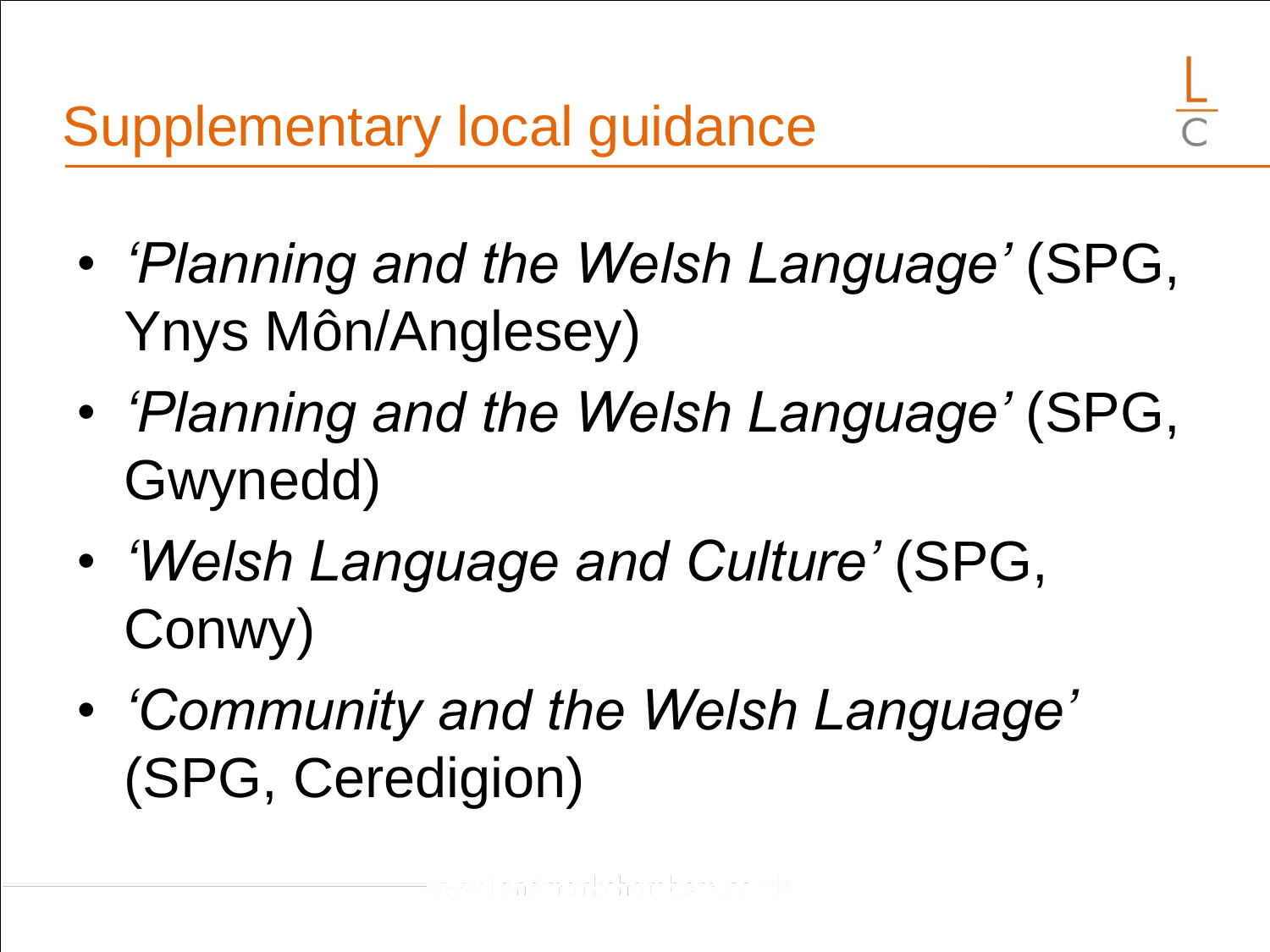- *'Planning and the Welsh Language'* (SPG, Ynys Môn/Anglesey)
- *'Planning and the Welsh Language'* (SPG, Gwynedd)
- *'Welsh Language and Culture'* (SPG, Conwy)
- *'Community and the Welsh Language'*  (SPG, Ceredigion)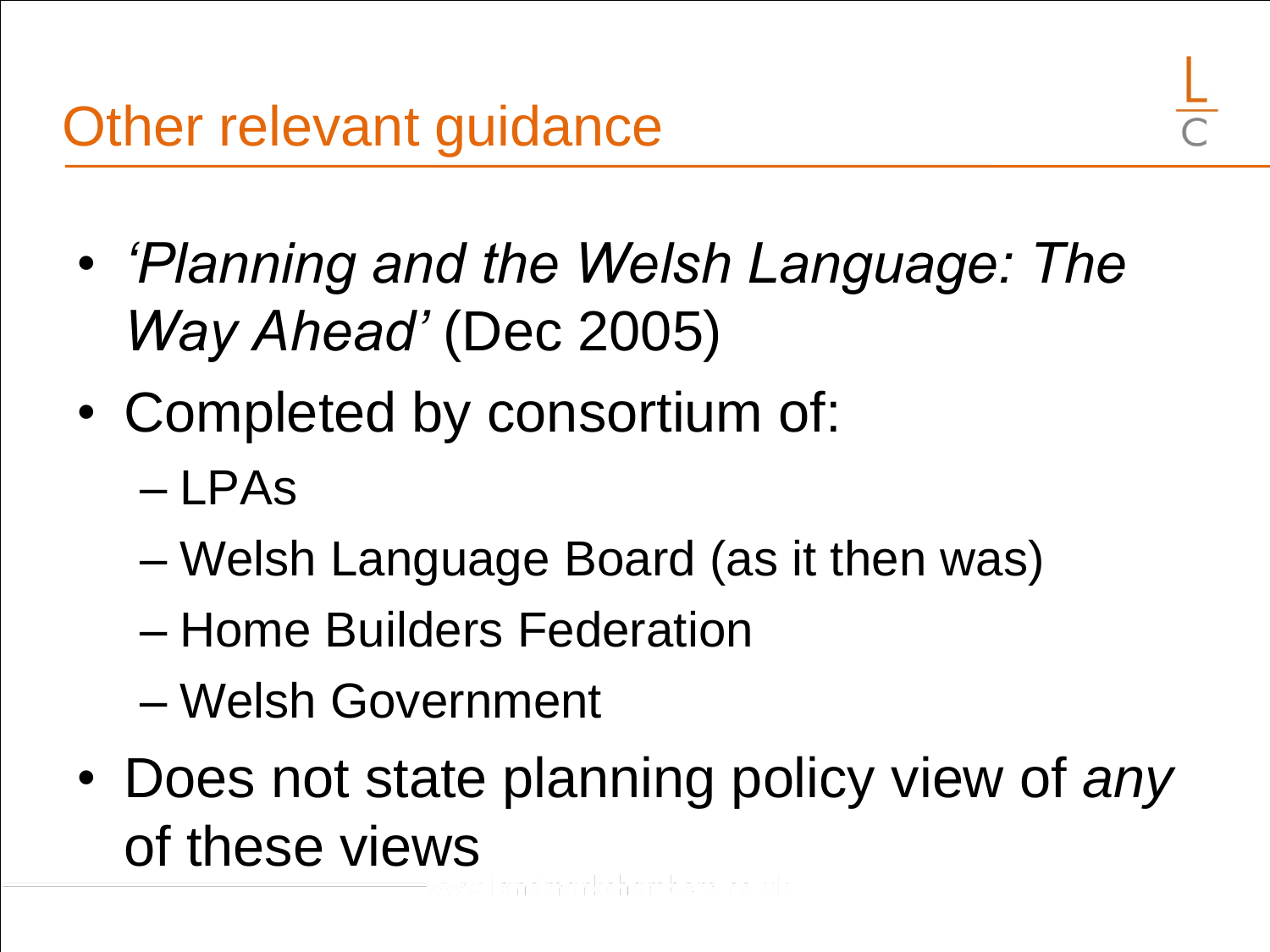- *'Planning and the Welsh Language: The Way Ahead'* (Dec 2005)
- Completed by consortium of:
	- LPAs
	- Welsh Language Board (as it then was)
	- Home Builders Federation
	- Welsh Government
- Does not state planning policy view of *any* of these views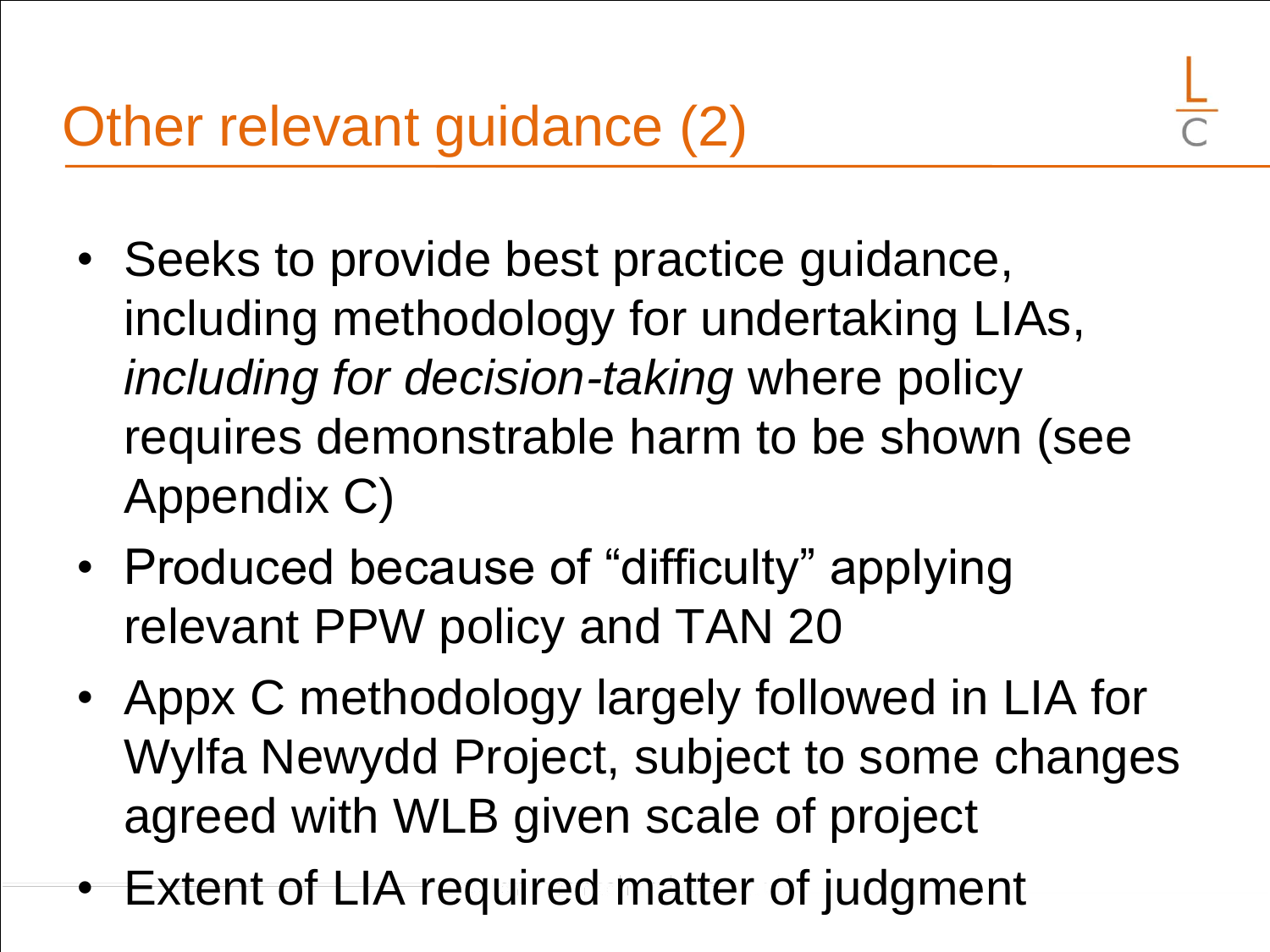- Seeks to provide best practice guidance, including methodology for undertaking LIAs, *including for decision-taking* where policy requires demonstrable harm to be shown (see Appendix C)
- Produced because of "difficulty" applying relevant PPW policy and TAN 20
- Appx C methodology largely followed in LIA for Wylfa Newydd Project, subject to some changes agreed with WLB given scale of project
- Extent of LIA required matter of judgment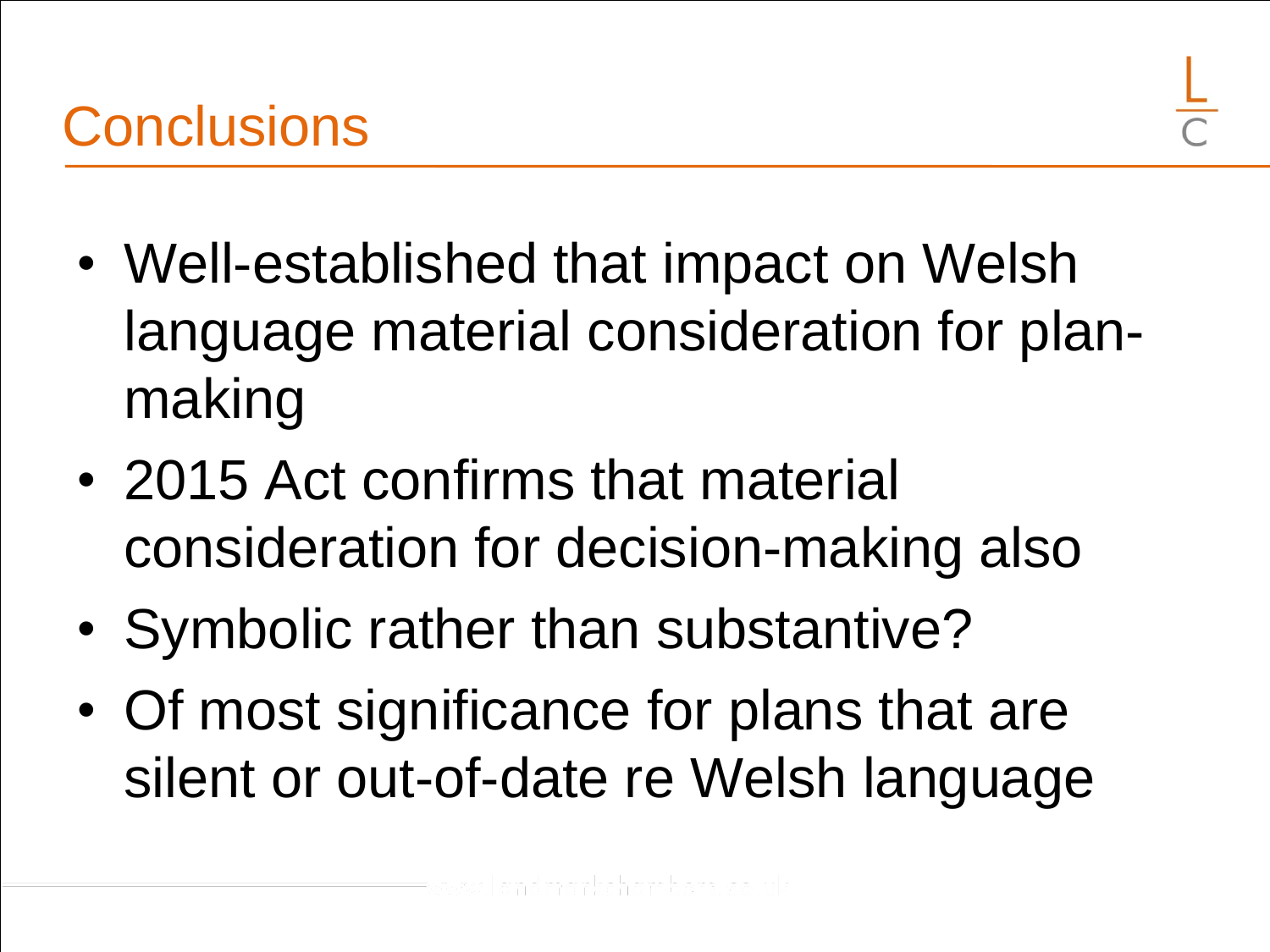- Well-established that impact on Welsh
- language material consideration for planmaking
- 2015 Act confirms that material consideration for decision-making also
- Symbolic rather than substantive?
- Of most significance for plans that are silent or out-of-date re Welsh language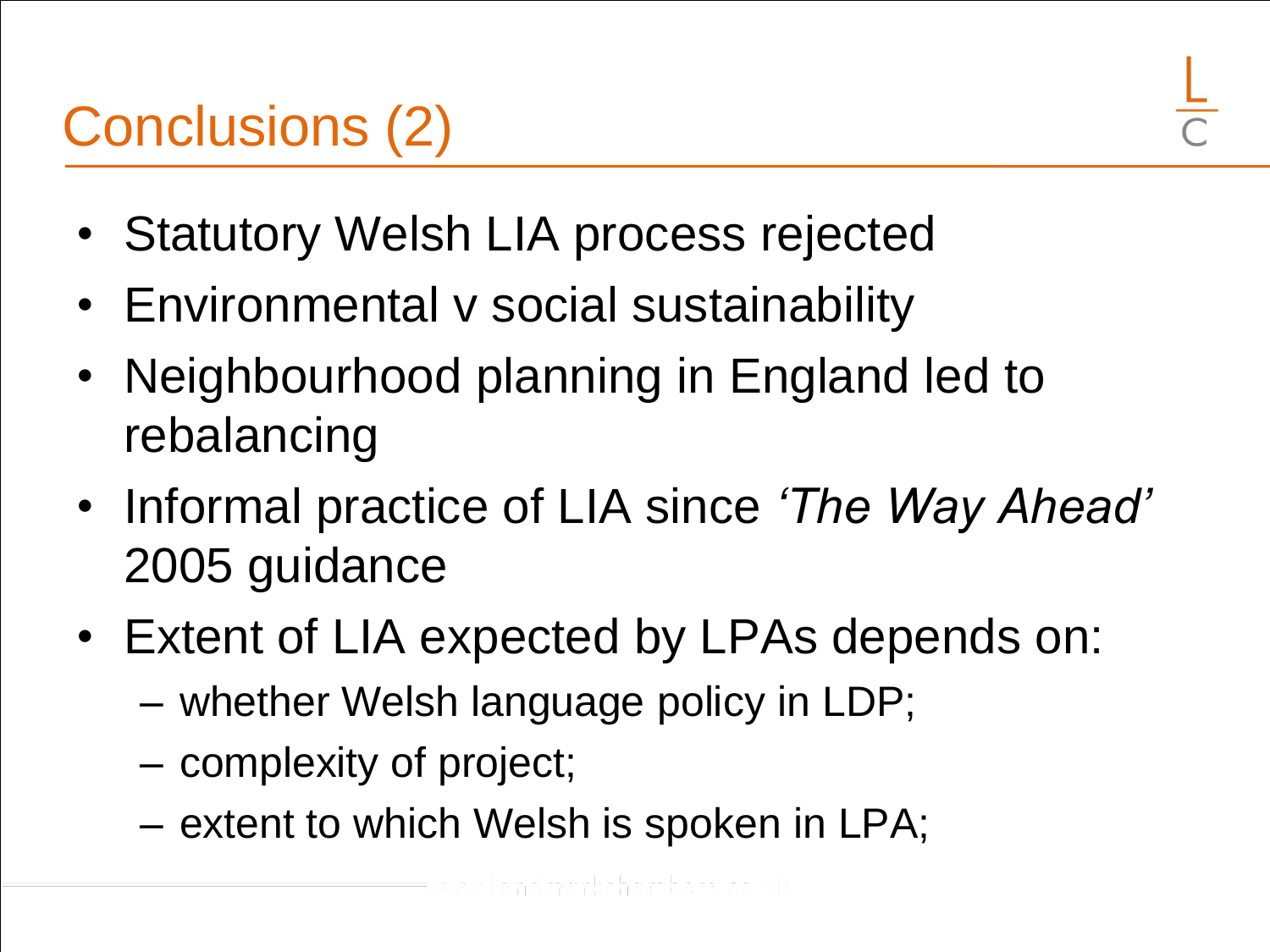# Conclusions (2)



- Statutory Welsh LIA process rejected
- Environmental v social sustainability
- Neighbourhood planning in England led to rebalancing
- Informal practice of LIA since *'The Way Ahead'* 2005 guidance
- Extent of LIA expected by LPAs depends on:
	- whether Welsh language policy in LDP;
	- complexity of project;
	- extent to which Welsh is spoken in LPA;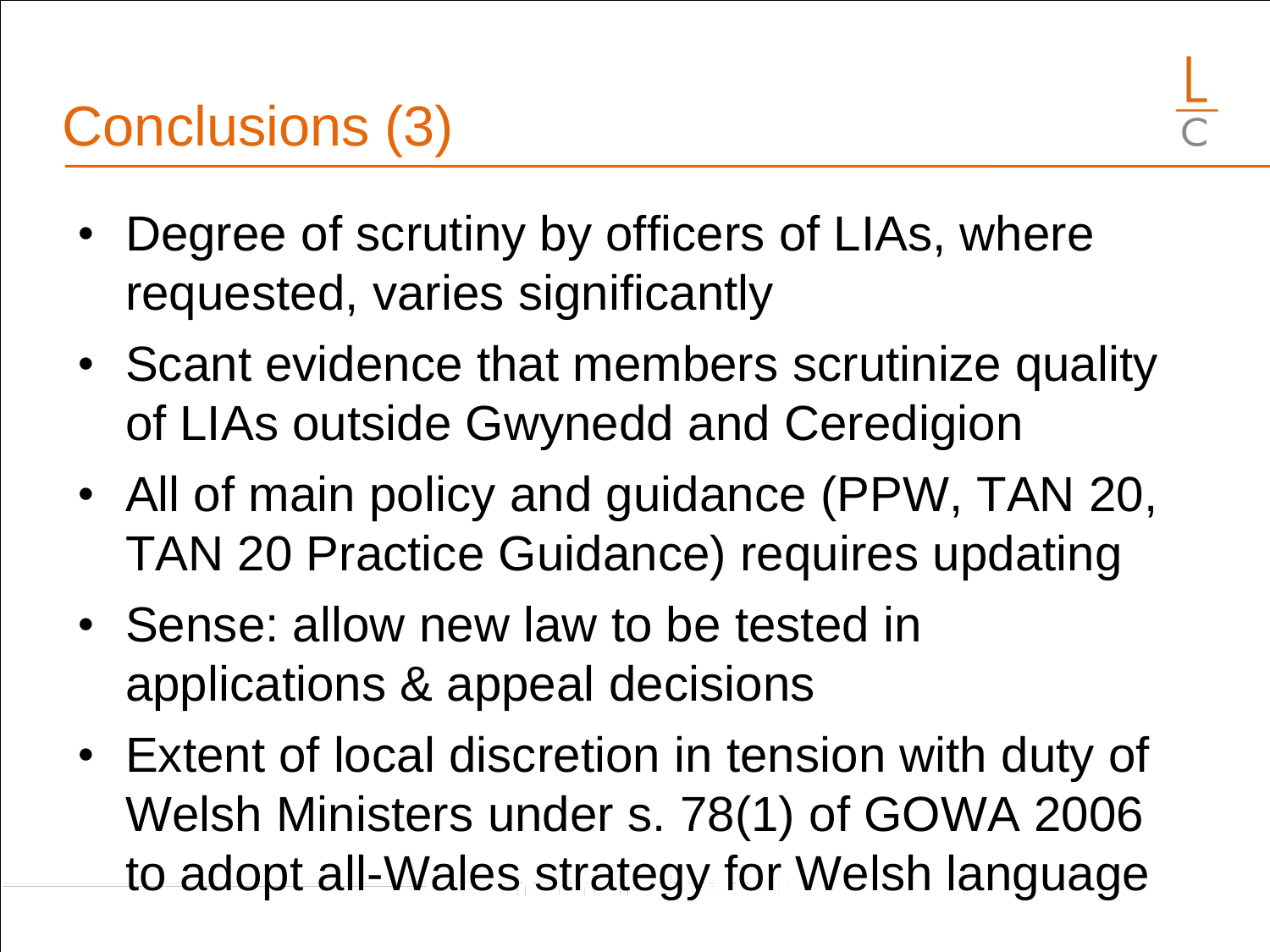# Conclusions (3)

- Degree of scrutiny by officers of LIAs, where requested, varies significantly
- Scant evidence that members scrutinize quality of LIAs outside Gwynedd and Ceredigion
- All of main policy and guidance (PPW, TAN 20, TAN 20 Practice Guidance) requires updating
- Sense: allow new law to be tested in applications & appeal decisions
- Extent of local discretion in tension with duty of Welsh Ministers under s. 78(1) of GOWA 2006 to adopt all-Wales strategy for Welsh language